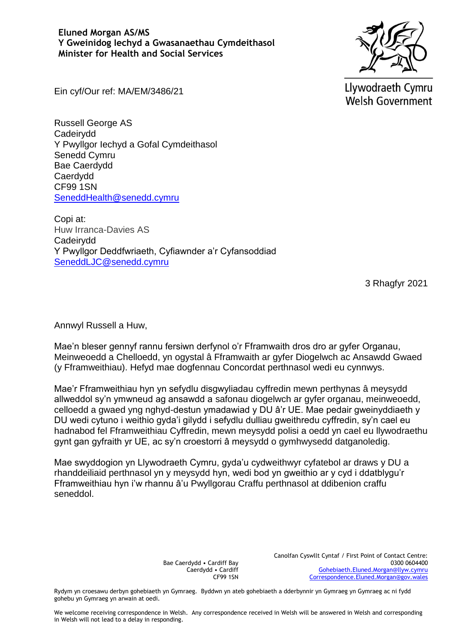**Eluned Morgan AS/MS Y Gweinidog Iechyd a Gwasanaethau Cymdeithasol Minister for Health and Social Services**



Llywodraeth Cymru **Welsh Government** 

Ein cyf/Our ref: MA/EM/3486/21

Russell George AS Cadeirydd Y Pwyllgor Iechyd a Gofal Cymdeithasol Senedd Cymru Bae Caerdydd Caerdydd CF99 1SN [SeneddHealth@senedd.cymru](mailto:SeneddHealth@senedd.cymru)

Copi at: Huw Irranca-Davies AS Cadeirydd Y Pwyllgor Deddfwriaeth, Cyfiawnder a'r Cyfansoddiad [SeneddLJC@senedd.cymru](mailto:SeneddLJC@senedd.cymru)

3 Rhagfyr 2021

Annwyl Russell a Huw,

Mae'n bleser gennyf rannu fersiwn derfynol o'r Fframwaith dros dro ar gyfer Organau, Meinweoedd a Chelloedd, yn ogystal â Fframwaith ar gyfer Diogelwch ac Ansawdd Gwaed (y Fframweithiau). Hefyd mae dogfennau Concordat perthnasol wedi eu cynnwys.

Mae'r Fframweithiau hyn yn sefydlu disgwyliadau cyffredin mewn perthynas â meysydd allweddol sy'n ymwneud ag ansawdd a safonau diogelwch ar gyfer organau, meinweoedd, celloedd a gwaed yng nghyd-destun ymadawiad y DU â'r UE. Mae pedair gweinyddiaeth y DU wedi cytuno i weithio gyda'i gilydd i sefydlu dulliau gweithredu cyffredin, sy'n cael eu hadnabod fel Fframweithiau Cyffredin, mewn meysydd polisi a oedd yn cael eu llywodraethu gynt gan gyfraith yr UE, ac sy'n croestorri â meysydd o gymhwysedd datganoledig.

Mae swyddogion yn Llywodraeth Cymru, gyda'u cydweithwyr cyfatebol ar draws y DU a rhanddeiliaid perthnasol yn y meysydd hyn, wedi bod yn gweithio ar y cyd i ddatblygu'r Fframweithiau hyn i'w rhannu â'u Pwyllgorau Craffu perthnasol at ddibenion craffu seneddol.

> Bae Caerdydd • Cardiff Bay Caerdydd • Cardiff CF99 1SN

Canolfan Cyswllt Cyntaf / First Point of Contact Centre: 0300 0604400 [Gohebiaeth.Eluned.Morgan@llyw.cymru](mailto:Gohebiaeth.Eluned.Morgan@llyw.cymru) [Correspondence.Eluned.Morgan@gov.wales](mailto:Correspondence.Eluned.Morgan@gov.wales)

Rydym yn croesawu derbyn gohebiaeth yn Gymraeg. Byddwn yn ateb gohebiaeth a dderbynnir yn Gymraeg yn Gymraeg ac ni fydd gohebu yn Gymraeg yn arwain at oedi.

We welcome receiving correspondence in Welsh. Any correspondence received in Welsh will be answered in Welsh and corresponding in Welsh will not lead to a delay in responding.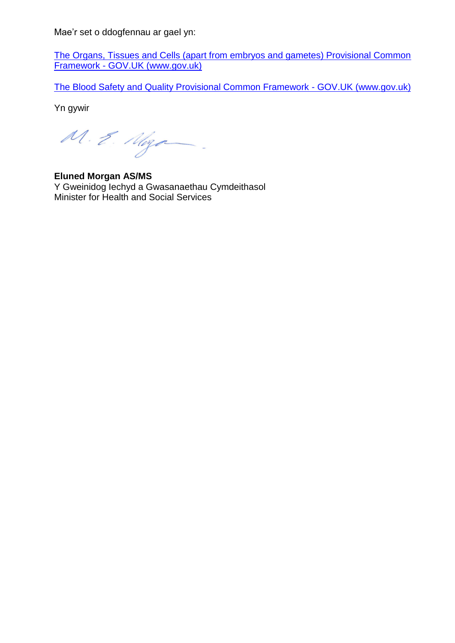Mae'r set o ddogfennau ar gael yn:

[The Organs, Tissues and Cells \(apart from embryos and gametes\) Provisional Common](https://www.gov.uk/government/publications/the-organs-tissues-and-cells-apart-from-embryos-and-gametes-provisional-common-framework-command-paper)  Framework - [GOV.UK \(www.gov.uk\)](https://www.gov.uk/government/publications/the-organs-tissues-and-cells-apart-from-embryos-and-gametes-provisional-common-framework-command-paper)

[The Blood Safety and Quality Provisional Common Framework -](https://www.gov.uk/government/publications/the-blood-safety-and-quality-provisional-common-framework-command-paper) GOV.UK (www.gov.uk)

Yn gywir

M. E. Moza

**Eluned Morgan AS/MS** Y Gweinidog Iechyd a Gwasanaethau Cymdeithasol Minister for Health and Social Services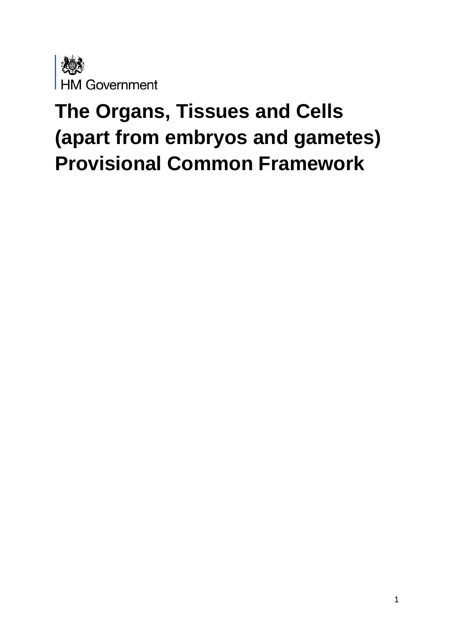

# **The Organs, Tissues and Cells (apart from embryos and gametes) Provisional Common Framework**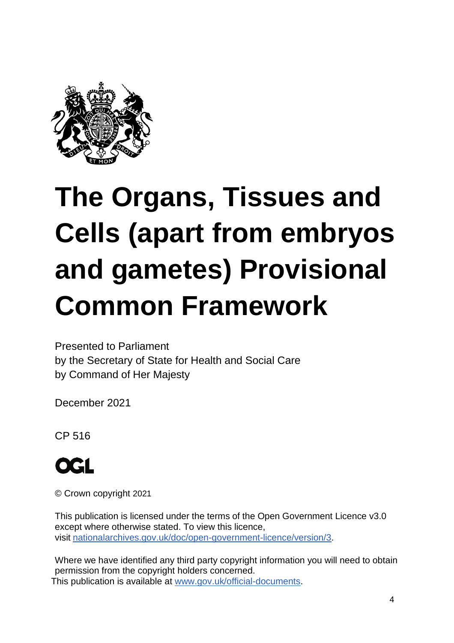

# **The Organs, Tissues and Cells (apart from embryos and gametes) Provisional Common Framework**

Presented to Parliament by the Secretary of State for Health and Social Care by Command of Her Majesty

December 2021

CP 516



© Crown copyright 2021

This publication is licensed under the terms of the Open Government Licence v3.0 except where otherwise stated. To view this licence, visit [nationalarchives.gov.uk/doc/open-government-licence/version/3.](http://www.nationalarchives.gov.uk/doc/open-government-licence/version/3)

Where we have identified any third party copyright information you will need to obtain permission from the copyright holders concerned. This publication is available at [www.gov.uk/official-documents.](https://www.gov.uk/government/publications)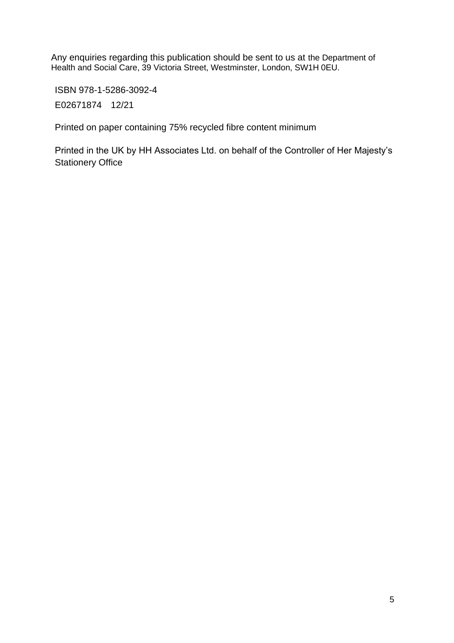Any enquiries regarding this publication should be sent to us at the Department of Health and Social Care, 39 Victoria Street, Westminster, London, SW1H 0EU.

ISBN 978-1-5286-3092-4

E02671874 12/21

Printed on paper containing 75% recycled fibre content minimum

Printed in the UK by HH Associates Ltd. on behalf of the Controller of Her Majesty's Stationery Office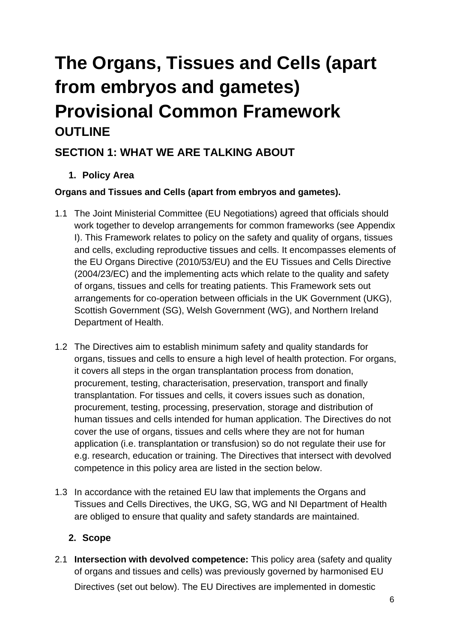# **The Organs, Tissues and Cells (apart from embryos and gametes) Provisional Common Framework OUTLINE**

# **SECTION 1: WHAT WE ARE TALKING ABOUT**

**1. Policy Area**

#### **Organs and Tissues and Cells (apart from embryos and gametes).**

- 1.1 The Joint Ministerial Committee (EU Negotiations) agreed that officials should work together to develop arrangements for common frameworks (see Appendix I). This Framework relates to policy on the safety and quality of organs, tissues and cells, excluding reproductive tissues and cells. It encompasses elements of the EU Organs Directive (2010/53/EU) and the EU Tissues and Cells Directive (2004/23/EC) and the implementing acts which relate to the quality and safety of organs, tissues and cells for treating patients. This Framework sets out arrangements for co-operation between officials in the UK Government (UKG), Scottish Government (SG), Welsh Government (WG), and Northern Ireland Department of Health.
- 1.2 The Directives aim to establish minimum safety and quality standards for organs, tissues and cells to ensure a high level of health protection. For organs, it covers all steps in the organ transplantation process from donation, procurement, testing, characterisation, preservation, transport and finally transplantation. For tissues and cells, it covers issues such as donation, procurement, testing, processing, preservation, storage and distribution of human tissues and cells intended for human application. The Directives do not cover the use of organs, tissues and cells where they are not for human application (i.e. transplantation or transfusion) so do not regulate their use for e.g. research, education or training. The Directives that intersect with devolved competence in this policy area are listed in the section below.
- 1.3 In accordance with the retained EU law that implements the Organs and Tissues and Cells Directives, the UKG, SG, WG and NI Department of Health are obliged to ensure that quality and safety standards are maintained.

#### **2. Scope**

2.1 **Intersection with devolved competence:** This policy area (safety and quality of organs and tissues and cells) was previously governed by harmonised EU Directives (set out below). The EU Directives are implemented in domestic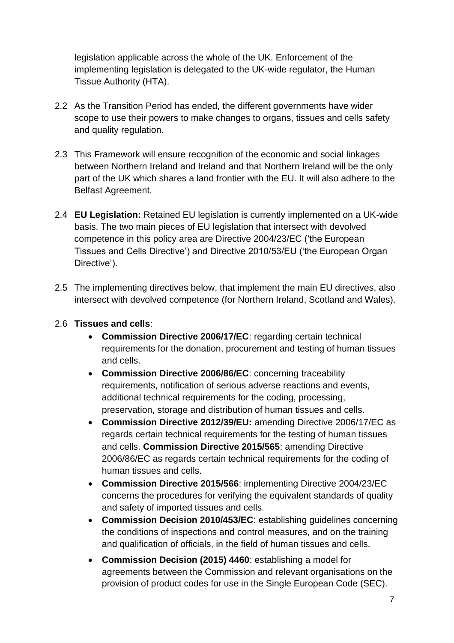legislation applicable across the whole of the UK. Enforcement of the implementing legislation is delegated to the UK-wide regulator, the Human Tissue Authority (HTA).

- 2.2 As the Transition Period has ended, the different governments have wider scope to use their powers to make changes to organs, tissues and cells safety and quality regulation.
- 2.3 This Framework will ensure recognition of the economic and social linkages between Northern Ireland and Ireland and that Northern Ireland will be the only part of the UK which shares a land frontier with the EU. It will also adhere to the Belfast Agreement.
- 2.4 **EU Legislation:** Retained EU legislation is currently implemented on a UK-wide basis. The two main pieces of EU legislation that intersect with devolved competence in this policy area are Directive 2004/23/EC ('the European Tissues and Cells Directive') and Directive 2010/53/EU ('the European Organ Directive').
- 2.5 The implementing directives below, that implement the main EU directives, also intersect with devolved competence (for Northern Ireland, Scotland and Wales).

#### 2.6 **Tissues and cells**:

- **Commission Directive 2006/17/EC**: regarding certain technical requirements for the donation, procurement and testing of human tissues and cells.
- **Commission Directive 2006/86/EC**: concerning traceability requirements, notification of serious adverse reactions and events, additional technical requirements for the coding, processing, preservation, storage and distribution of human tissues and cells.
- **Commission Directive 2012/39/EU:** amending Directive 2006/17/EC as regards certain technical requirements for the testing of human tissues and cells. **Commission Directive 2015/565**: amending Directive 2006/86/EC as regards certain technical requirements for the coding of human tissues and cells.
- **Commission Directive 2015/566**: implementing Directive 2004/23/EC concerns the procedures for verifying the equivalent standards of quality and safety of imported tissues and cells.
- **Commission Decision 2010/453/EC**: establishing guidelines concerning the conditions of inspections and control measures, and on the training and qualification of officials, in the field of human tissues and cells.
- **Commission Decision (2015) 4460**: establishing a model for agreements between the Commission and relevant organisations on the provision of product codes for use in the Single European Code (SEC).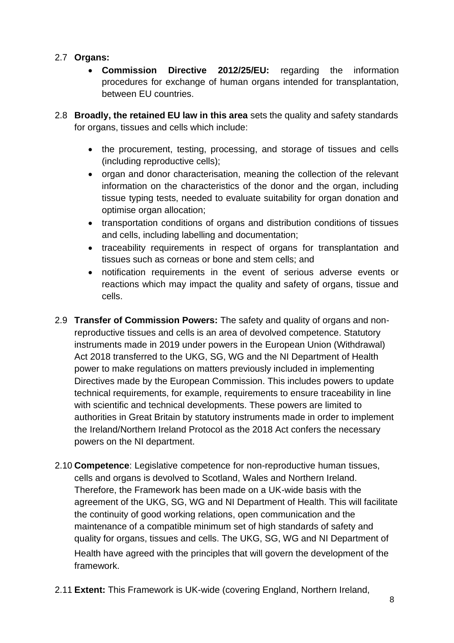#### 2.7 **Organs:**

- **Commission Directive 2012/25/EU:** regarding the information procedures for exchange of human organs intended for transplantation, between EU countries.
- 2.8 **Broadly, the retained EU law in this area** sets the quality and safety standards for organs, tissues and cells which include:
	- the procurement, testing, processing, and storage of tissues and cells (including reproductive cells);
	- organ and donor characterisation, meaning the collection of the relevant information on the characteristics of the donor and the organ, including tissue typing tests, needed to evaluate suitability for organ donation and optimise organ allocation;
	- transportation conditions of organs and distribution conditions of tissues and cells, including labelling and documentation;
	- traceability requirements in respect of organs for transplantation and tissues such as corneas or bone and stem cells; and
	- notification requirements in the event of serious adverse events or reactions which may impact the quality and safety of organs, tissue and cells.
- 2.9 **Transfer of Commission Powers:** The safety and quality of organs and nonreproductive tissues and cells is an area of devolved competence. Statutory instruments made in 2019 under powers in the European Union (Withdrawal) Act 2018 transferred to the UKG, SG, WG and the NI Department of Health power to make regulations on matters previously included in implementing Directives made by the European Commission. This includes powers to update technical requirements, for example, requirements to ensure traceability in line with scientific and technical developments. These powers are limited to authorities in Great Britain by statutory instruments made in order to implement the Ireland/Northern Ireland Protocol as the 2018 Act confers the necessary powers on the NI department.
- 2.10 **Competence**: Legislative competence for non-reproductive human tissues, cells and organs is devolved to Scotland, Wales and Northern Ireland. Therefore, the Framework has been made on a UK-wide basis with the agreement of the UKG, SG, WG and NI Department of Health. This will facilitate the continuity of good working relations, open communication and the maintenance of a compatible minimum set of high standards of safety and quality for organs, tissues and cells. The UKG, SG, WG and NI Department of Health have agreed with the principles that will govern the development of the framework.
- 2.11 **Extent:** This Framework is UK-wide (covering England, Northern Ireland,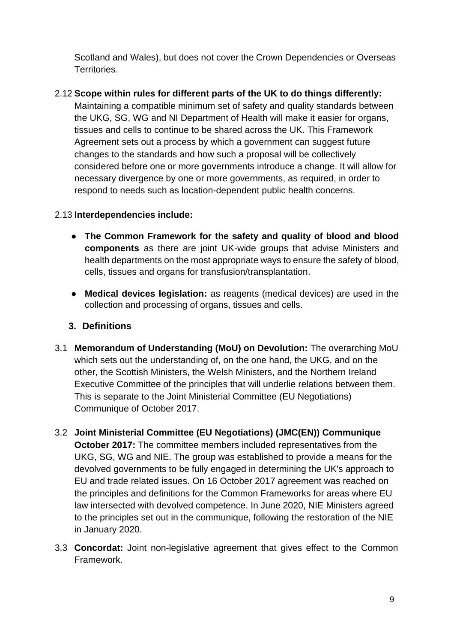Scotland and Wales), but does not cover the Crown Dependencies or Overseas Territories.

#### 2.12 **Scope within rules for different parts of the UK to do things differently:**

Maintaining a compatible minimum set of safety and quality standards between the UKG, SG, WG and NI Department of Health will make it easier for organs, tissues and cells to continue to be shared across the UK. This Framework Agreement sets out a process by which a government can suggest future changes to the standards and how such a proposal will be collectively considered before one or more governments introduce a change. It will allow for necessary divergence by one or more governments, as required, in order to respond to needs such as location-dependent public health concerns.

#### 2.13 **Interdependencies include:**

- **The Common Framework for the safety and quality of blood and blood components** as there are joint UK-wide groups that advise Ministers and health departments on the most appropriate ways to ensure the safety of blood, cells, tissues and organs for transfusion/transplantation.
- **Medical devices legislation:** as reagents (medical devices) are used in the collection and processing of organs, tissues and cells.

#### **3. Definitions**

- 3.1 **Memorandum of Understanding (MoU) on Devolution:** The overarching MoU which sets out the understanding of, on the one hand, the UKG, and on the other, the Scottish Ministers, the Welsh Ministers, and the Northern Ireland Executive Committee of the principles that will underlie relations between them. This is separate to the Joint Ministerial Committee (EU Negotiations) Communique of October 2017.
- 3.2 **Joint Ministerial Committee (EU Negotiations) (JMC(EN)) Communique October 2017:** The committee members included representatives from the UKG, SG, WG and NIE. The group was established to provide a means for the devolved governments to be fully engaged in determining the UK's approach to EU and trade related issues. On 16 October 2017 agreement was reached on the principles and definitions for the Common Frameworks for areas where EU law intersected with devolved competence. In June 2020, NIE Ministers agreed to the principles set out in the communique, following the restoration of the NIE in January 2020.
- 3.3 **Concordat:** Joint non-legislative agreement that gives effect to the Common Framework.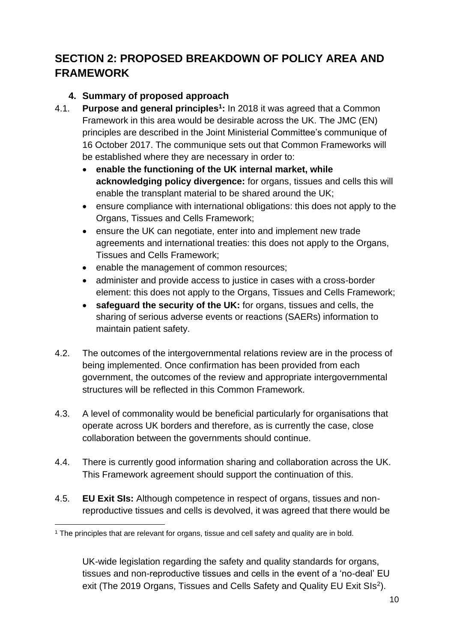# **SECTION 2: PROPOSED BREAKDOWN OF POLICY AREA AND FRAMEWORK**

#### **4. Summary of proposed approach**

- 4.1. **Purpose and general principles<sup>1</sup> :** In 2018 it was agreed that a Common Framework in this area would be desirable across the UK. The JMC (EN) principles are described in the Joint Ministerial Committee's communique of 16 October 2017. The communique sets out that Common Frameworks will be established where they are necessary in order to:
	- **enable the functioning of the UK internal market, while acknowledging policy divergence:** for organs, tissues and cells this will enable the transplant material to be shared around the UK;
	- ensure compliance with international obligations: this does not apply to the Organs, Tissues and Cells Framework;
	- ensure the UK can negotiate, enter into and implement new trade agreements and international treaties: this does not apply to the Organs, Tissues and Cells Framework;
	- enable the management of common resources;
	- administer and provide access to justice in cases with a cross-border element: this does not apply to the Organs, Tissues and Cells Framework;
	- **safeguard the security of the UK:** for organs, tissues and cells, the sharing of serious adverse events or reactions (SAERs) information to maintain patient safety.
- 4.2. The outcomes of the intergovernmental relations review are in the process of being implemented. Once confirmation has been provided from each government, the outcomes of the review and appropriate intergovernmental structures will be reflected in this Common Framework.
- 4.3. A level of commonality would be beneficial particularly for organisations that operate across UK borders and therefore, as is currently the case, close collaboration between the governments should continue.
- 4.4. There is currently good information sharing and collaboration across the UK. This Framework agreement should support the continuation of this.
- 4.5. **EU Exit SIs:** Although competence in respect of organs, tissues and nonreproductive tissues and cells is devolved, it was agreed that there would be

<sup>&</sup>lt;sup>1</sup> The principles that are relevant for organs, tissue and cell safety and quality are in bold.

UK-wide legislation regarding the safety and quality standards for organs, tissues and non-reproductive tissues and cells in the event of a 'no-deal' EU exit (The 2019 Organs, Tissues and Cells Safety and Quality EU Exit SIs<sup>2</sup>).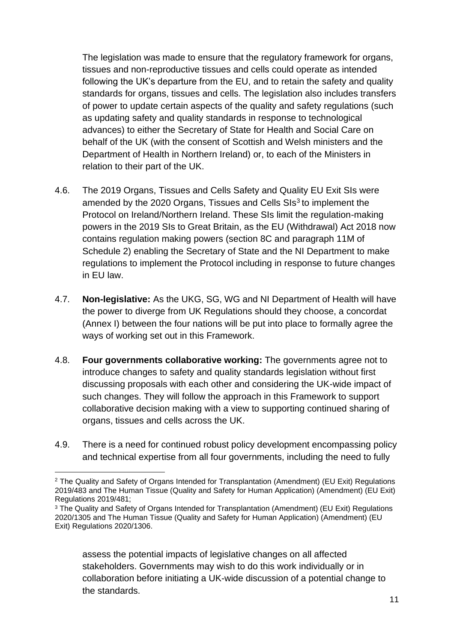The legislation was made to ensure that the regulatory framework for organs, tissues and non-reproductive tissues and cells could operate as intended following the UK's departure from the EU, and to retain the safety and quality standards for organs, tissues and cells. The legislation also includes transfers of power to update certain aspects of the quality and safety regulations (such as updating safety and quality standards in response to technological advances) to either the Secretary of State for Health and Social Care on behalf of the UK (with the consent of Scottish and Welsh ministers and the Department of Health in Northern Ireland) or, to each of the Ministers in relation to their part of the UK.

- 4.6. The 2019 Organs, Tissues and Cells Safety and Quality EU Exit SIs were amended by the 2020 Organs, Tissues and Cells SIs<sup>3</sup> to implement the Protocol on Ireland/Northern Ireland. These SIs limit the regulation-making powers in the 2019 SIs to Great Britain, as the EU (Withdrawal) Act 2018 now contains regulation making powers (section 8C and paragraph 11M of Schedule 2) enabling the Secretary of State and the NI Department to make regulations to implement the Protocol including in response to future changes in EU law.
- 4.7. **Non-legislative:** As the UKG, SG, WG and NI Department of Health will have the power to diverge from UK Regulations should they choose, a concordat (Annex I) between the four nations will be put into place to formally agree the ways of working set out in this Framework.
- 4.8. **Four governments collaborative working:** The governments agree not to introduce changes to safety and quality standards legislation without first discussing proposals with each other and considering the UK-wide impact of such changes. They will follow the approach in this Framework to support collaborative decision making with a view to supporting continued sharing of organs, tissues and cells across the UK.
- 4.9. There is a need for continued robust policy development encompassing policy and technical expertise from all four governments, including the need to fully

assess the potential impacts of legislative changes on all affected stakeholders. Governments may wish to do this work individually or in collaboration before initiating a UK-wide discussion of a potential change to the standards.

<sup>2</sup> The Quality and Safety of Organs Intended for Transplantation (Amendment) (EU Exit) Regulations 2019/483 and The Human Tissue (Quality and Safety for Human Application) (Amendment) (EU Exit) Regulations 2019/481;

<sup>&</sup>lt;sup>3</sup> The Quality and Safety of Organs Intended for Transplantation (Amendment) (EU Exit) Regulations 2020/1305 and The Human Tissue (Quality and Safety for Human Application) (Amendment) (EU Exit) Regulations 2020/1306.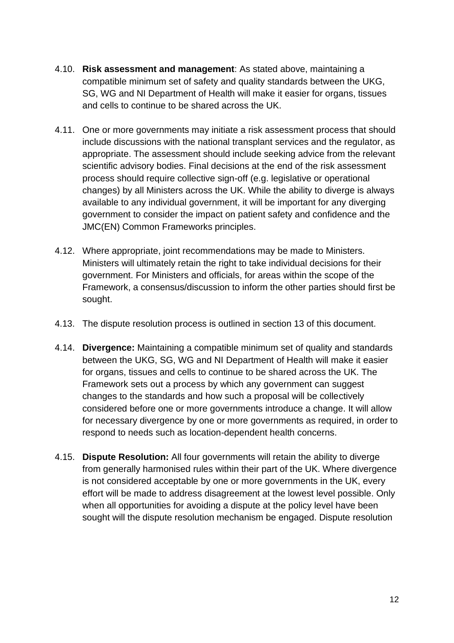- 4.10. **Risk assessment and management**: As stated above, maintaining a compatible minimum set of safety and quality standards between the UKG, SG, WG and NI Department of Health will make it easier for organs, tissues and cells to continue to be shared across the UK.
- 4.11. One or more governments may initiate a risk assessment process that should include discussions with the national transplant services and the regulator, as appropriate. The assessment should include seeking advice from the relevant scientific advisory bodies. Final decisions at the end of the risk assessment process should require collective sign-off (e.g. legislative or operational changes) by all Ministers across the UK. While the ability to diverge is always available to any individual government, it will be important for any diverging government to consider the impact on patient safety and confidence and the JMC(EN) Common Frameworks principles.
- 4.12. Where appropriate, joint recommendations may be made to Ministers. Ministers will ultimately retain the right to take individual decisions for their government. For Ministers and officials, for areas within the scope of the Framework, a consensus/discussion to inform the other parties should first be sought.
- 4.13. The dispute resolution process is outlined in section 13 of this document.
- 4.14. **Divergence:** Maintaining a compatible minimum set of quality and standards between the UKG, SG, WG and NI Department of Health will make it easier for organs, tissues and cells to continue to be shared across the UK. The Framework sets out a process by which any government can suggest changes to the standards and how such a proposal will be collectively considered before one or more governments introduce a change. It will allow for necessary divergence by one or more governments as required, in order to respond to needs such as location-dependent health concerns.
- 4.15. **Dispute Resolution:** All four governments will retain the ability to diverge from generally harmonised rules within their part of the UK. Where divergence is not considered acceptable by one or more governments in the UK, every effort will be made to address disagreement at the lowest level possible. Only when all opportunities for avoiding a dispute at the policy level have been sought will the dispute resolution mechanism be engaged. Dispute resolution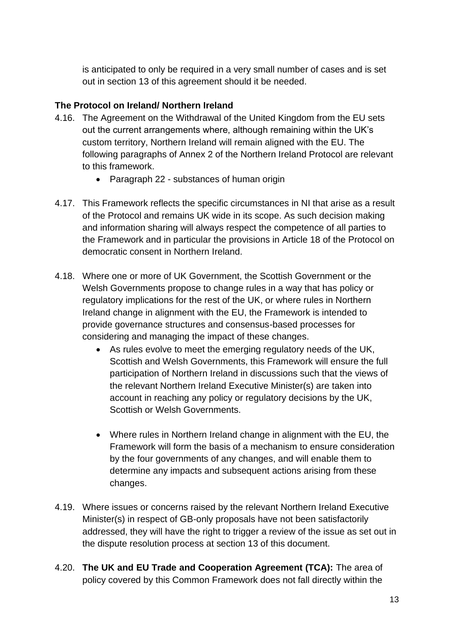is anticipated to only be required in a very small number of cases and is set out in section 13 of this agreement should it be needed.

#### **The Protocol on Ireland/ Northern Ireland**

- 4.16. The Agreement on the Withdrawal of the United Kingdom from the EU sets out the current arrangements where, although remaining within the UK's custom territory, Northern Ireland will remain aligned with the EU. The following paragraphs of Annex 2 of the Northern Ireland Protocol are relevant to this framework.
	- Paragraph 22 substances of human origin
- 4.17. This Framework reflects the specific circumstances in NI that arise as a result of the Protocol and remains UK wide in its scope. As such decision making and information sharing will always respect the competence of all parties to the Framework and in particular the provisions in Article 18 of the Protocol on democratic consent in Northern Ireland.
- 4.18. Where one or more of UK Government, the Scottish Government or the Welsh Governments propose to change rules in a way that has policy or regulatory implications for the rest of the UK, or where rules in Northern Ireland change in alignment with the EU, the Framework is intended to provide governance structures and consensus-based processes for considering and managing the impact of these changes.
	- As rules evolve to meet the emerging regulatory needs of the UK, Scottish and Welsh Governments, this Framework will ensure the full participation of Northern Ireland in discussions such that the views of the relevant Northern Ireland Executive Minister(s) are taken into account in reaching any policy or regulatory decisions by the UK, Scottish or Welsh Governments.
	- Where rules in Northern Ireland change in alignment with the EU, the Framework will form the basis of a mechanism to ensure consideration by the four governments of any changes, and will enable them to determine any impacts and subsequent actions arising from these changes.
- 4.19. Where issues or concerns raised by the relevant Northern Ireland Executive Minister(s) in respect of GB-only proposals have not been satisfactorily addressed, they will have the right to trigger a review of the issue as set out in the dispute resolution process at section 13 of this document.
- 4.20. **The UK and EU Trade and Cooperation Agreement (TCA):** The area of policy covered by this Common Framework does not fall directly within the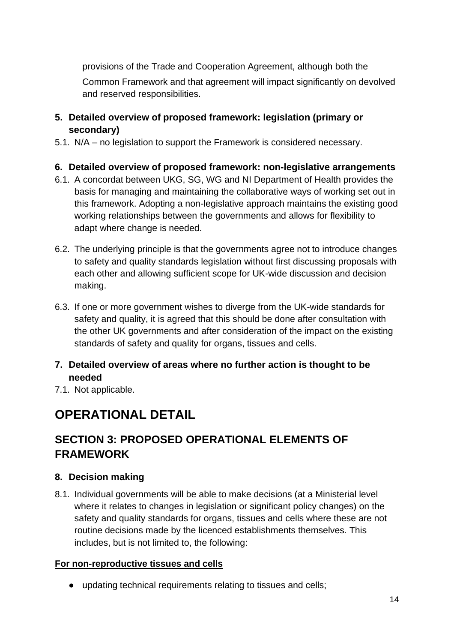provisions of the Trade and Cooperation Agreement, although both the Common Framework and that agreement will impact significantly on devolved and reserved responsibilities.

- **5. Detailed overview of proposed framework: legislation (primary or secondary)**
- 5.1. N/A no legislation to support the Framework is considered necessary.

#### **6. Detailed overview of proposed framework: non-legislative arrangements**

- 6.1. A concordat between UKG, SG, WG and NI Department of Health provides the basis for managing and maintaining the collaborative ways of working set out in this framework. Adopting a non-legislative approach maintains the existing good working relationships between the governments and allows for flexibility to adapt where change is needed.
- 6.2. The underlying principle is that the governments agree not to introduce changes to safety and quality standards legislation without first discussing proposals with each other and allowing sufficient scope for UK-wide discussion and decision making.
- 6.3. If one or more government wishes to diverge from the UK-wide standards for safety and quality, it is agreed that this should be done after consultation with the other UK governments and after consideration of the impact on the existing standards of safety and quality for organs, tissues and cells.
- **7. Detailed overview of areas where no further action is thought to be needed**
- 7.1. Not applicable.

# **OPERATIONAL DETAIL**

# **SECTION 3: PROPOSED OPERATIONAL ELEMENTS OF FRAMEWORK**

#### **8. Decision making**

8.1. Individual governments will be able to make decisions (at a Ministerial level where it relates to changes in legislation or significant policy changes) on the safety and quality standards for organs, tissues and cells where these are not routine decisions made by the licenced establishments themselves. This includes, but is not limited to, the following:

#### **For non-reproductive tissues and cells**

● updating technical requirements relating to tissues and cells;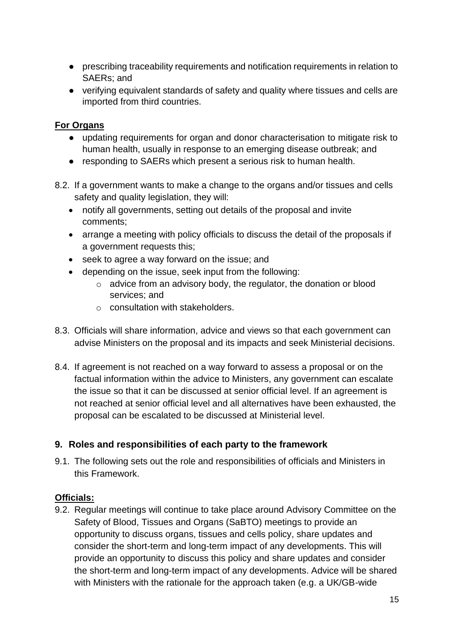- prescribing traceability requirements and notification requirements in relation to SAERs; and
- verifying equivalent standards of safety and quality where tissues and cells are imported from third countries.

#### **For Organs**

- updating requirements for organ and donor characterisation to mitigate risk to human health, usually in response to an emerging disease outbreak; and
- responding to SAERs which present a serious risk to human health.
- 8.2. If a government wants to make a change to the organs and/or tissues and cells safety and quality legislation, they will:
	- notify all governments, setting out details of the proposal and invite comments;
	- arrange a meeting with policy officials to discuss the detail of the proposals if a government requests this;
	- seek to agree a way forward on the issue; and
	- depending on the issue, seek input from the following:
		- o advice from an advisory body, the regulator, the donation or blood services; and
		- o consultation with stakeholders.
- 8.3. Officials will share information, advice and views so that each government can advise Ministers on the proposal and its impacts and seek Ministerial decisions.
- 8.4. If agreement is not reached on a way forward to assess a proposal or on the factual information within the advice to Ministers, any government can escalate the issue so that it can be discussed at senior official level. If an agreement is not reached at senior official level and all alternatives have been exhausted, the proposal can be escalated to be discussed at Ministerial level.

#### **9. Roles and responsibilities of each party to the framework**

9.1. The following sets out the role and responsibilities of officials and Ministers in this Framework.

#### **Officials:**

9.2. Regular meetings will continue to take place around Advisory Committee on the Safety of Blood, Tissues and Organs (SaBTO) meetings to provide an opportunity to discuss organs, tissues and cells policy, share updates and consider the short-term and long-term impact of any developments. This will provide an opportunity to discuss this policy and share updates and consider the short-term and long-term impact of any developments. Advice will be shared with Ministers with the rationale for the approach taken (e.g. a UK/GB-wide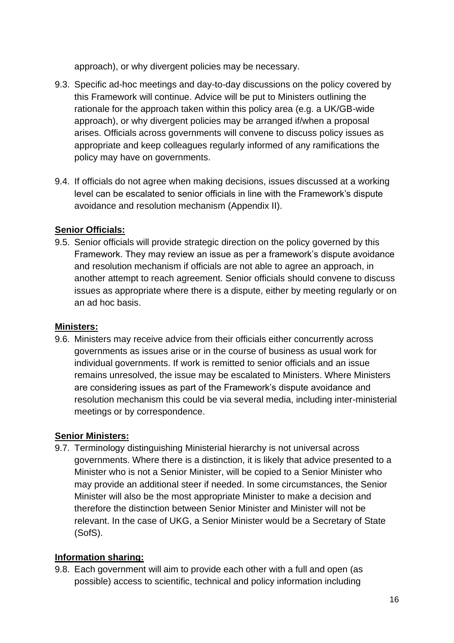approach), or why divergent policies may be necessary.

- 9.3. Specific ad-hoc meetings and day-to-day discussions on the policy covered by this Framework will continue. Advice will be put to Ministers outlining the rationale for the approach taken within this policy area (e.g. a UK/GB-wide approach), or why divergent policies may be arranged if/when a proposal arises. Officials across governments will convene to discuss policy issues as appropriate and keep colleagues regularly informed of any ramifications the policy may have on governments.
- 9.4. If officials do not agree when making decisions, issues discussed at a working level can be escalated to senior officials in line with the Framework's dispute avoidance and resolution mechanism (Appendix II).

#### **Senior Officials:**

9.5. Senior officials will provide strategic direction on the policy governed by this Framework. They may review an issue as per a framework's dispute avoidance and resolution mechanism if officials are not able to agree an approach, in another attempt to reach agreement. Senior officials should convene to discuss issues as appropriate where there is a dispute, either by meeting regularly or on an ad hoc basis.

#### **Ministers:**

9.6. Ministers may receive advice from their officials either concurrently across governments as issues arise or in the course of business as usual work for individual governments. If work is remitted to senior officials and an issue remains unresolved, the issue may be escalated to Ministers. Where Ministers are considering issues as part of the Framework's dispute avoidance and resolution mechanism this could be via several media, including inter-ministerial meetings or by correspondence.

#### **Senior Ministers:**

9.7. Terminology distinguishing Ministerial hierarchy is not universal across governments. Where there is a distinction, it is likely that advice presented to a Minister who is not a Senior Minister, will be copied to a Senior Minister who may provide an additional steer if needed. In some circumstances, the Senior Minister will also be the most appropriate Minister to make a decision and therefore the distinction between Senior Minister and Minister will not be relevant. In the case of UKG, a Senior Minister would be a Secretary of State (SofS).

#### **Information sharing:**

9.8. Each government will aim to provide each other with a full and open (as possible) access to scientific, technical and policy information including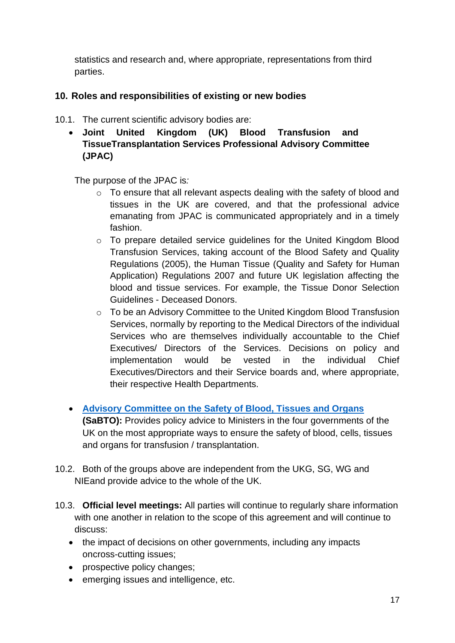statistics and research and, where appropriate, representations from third parties.

#### **10. Roles and responsibilities of existing or new bodies**

- 10.1. The current scientific advisory bodies are:
	- **Joint United Kingdom (UK) Blood Transfusion and TissueTransplantation Services Professional Advisory Committee (JPAC)**

The purpose of the JPAC is*:*

- o To ensure that all relevant aspects dealing with the safety of blood and tissues in the UK are covered, and that the professional advice emanating from JPAC is communicated appropriately and in a timely fashion.
- o To prepare detailed service guidelines for the United Kingdom Blood Transfusion Services, taking account of the Blood Safety and Quality Regulations (2005), the Human Tissue (Quality and Safety for Human Application) Regulations 2007 and future UK legislation affecting the blood and tissue services. For example, the Tissue Donor Selection Guidelines - Deceased Donors.
- o To be an Advisory Committee to the United Kingdom Blood Transfusion Services, normally by reporting to the Medical Directors of the individual Services who are themselves individually accountable to the Chief Executives/ Directors of the Services. Decisions on policy and implementation would be vested in the individual Chief Executives/Directors and their Service boards and, where appropriate, their respective Health Departments.
- **[Advisory Committee on the Safety of Blood, Tissues and Organs](https://eur03.safelinks.protection.outlook.com/?url=https%3A%2F%2Fwww.gov.uk%2Fgovernment%2Fgroups%2Fadvisory-committee-on-the-safety-of-blood-tissues-and-organs%23membership&data=04%7C01%7CJosephine.Oyinlola%40dhsc.gov.uk%7Ce2ed82635bc040c7718808d9779ef39d%7C61278c3091a84c318c1fef4de8973a1c%7C1%7C0%7C637672346845947417%7CUnknown%7CTWFpbGZsb3d8eyJWIjoiMC4wLjAwMDAiLCJQIjoiV2luMzIiLCJBTiI6Ik1haWwiLCJXVCI6Mn0%3D%7C1000&sdata=S0PIhKonXxWEJeAl9rrPbIyYxxEyfgx5HnyBzKN0KMI%3D&reserved=0) (SaBTO):** Provides policy advice to Ministers in the four governments of the UK on the most appropriate ways to ensure the safety of blood, cells, tissues and organs for transfusion / transplantation.
- 10.2. Both of the groups above are independent from the UKG, SG, WG and NIEand provide advice to the whole of the UK.
- 10.3. **Official level meetings:** All parties will continue to regularly share information with one another in relation to the scope of this agreement and will continue to discuss:
	- the impact of decisions on other governments, including any impacts oncross-cutting issues;
	- prospective policy changes;
	- emerging issues and intelligence, etc.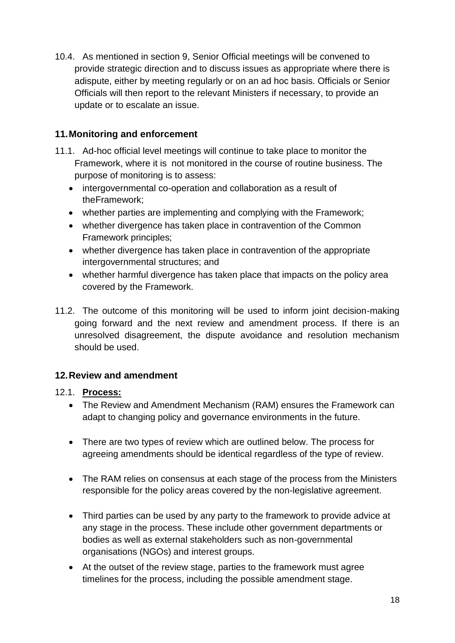10.4. As mentioned in section 9, Senior Official meetings will be convened to provide strategic direction and to discuss issues as appropriate where there is adispute, either by meeting regularly or on an ad hoc basis. Officials or Senior Officials will then report to the relevant Ministers if necessary, to provide an update or to escalate an issue.

#### **11.Monitoring and enforcement**

- 11.1. Ad-hoc official level meetings will continue to take place to monitor the Framework, where it is not monitored in the course of routine business. The purpose of monitoring is to assess:
	- intergovernmental co-operation and collaboration as a result of theFramework;
	- whether parties are implementing and complying with the Framework;
	- whether divergence has taken place in contravention of the Common Framework principles;
	- whether divergence has taken place in contravention of the appropriate intergovernmental structures; and
	- whether harmful divergence has taken place that impacts on the policy area covered by the Framework.
- 11.2. The outcome of this monitoring will be used to inform joint decision-making going forward and the next review and amendment process. If there is an unresolved disagreement, the dispute avoidance and resolution mechanism should be used.

### **12.Review and amendment**

#### 12.1. **Process:**

- The Review and Amendment Mechanism (RAM) ensures the Framework can adapt to changing policy and governance environments in the future.
- There are two types of review which are outlined below. The process for agreeing amendments should be identical regardless of the type of review.
- The RAM relies on consensus at each stage of the process from the Ministers responsible for the policy areas covered by the non-legislative agreement.
- Third parties can be used by any party to the framework to provide advice at any stage in the process. These include other government departments or bodies as well as external stakeholders such as non-governmental organisations (NGOs) and interest groups.
- At the outset of the review stage, parties to the framework must agree timelines for the process, including the possible amendment stage.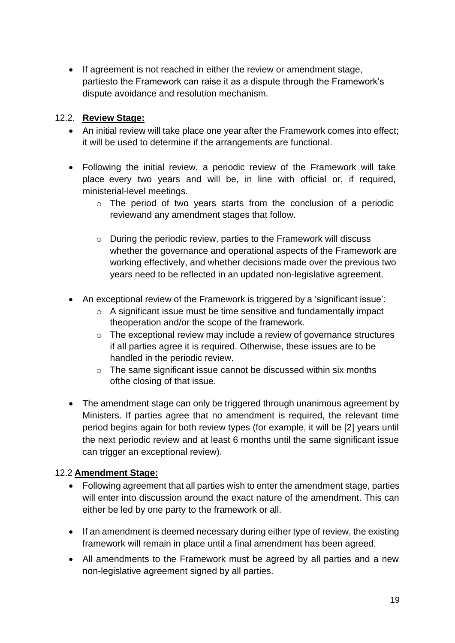• If agreement is not reached in either the review or amendment stage, partiesto the Framework can raise it as a dispute through the Framework's dispute avoidance and resolution mechanism.

#### 12.2. **Review Stage:**

- An initial review will take place one year after the Framework comes into effect; it will be used to determine if the arrangements are functional.
- Following the initial review, a periodic review of the Framework will take place every two years and will be, in line with official or, if required, ministerial-level meetings.
	- o The period of two years starts from the conclusion of a periodic reviewand any amendment stages that follow.
	- o During the periodic review, parties to the Framework will discuss whether the governance and operational aspects of the Framework are working effectively, and whether decisions made over the previous two years need to be reflected in an updated non-legislative agreement.
- An exceptional review of the Framework is triggered by a 'significant issue':
	- o A significant issue must be time sensitive and fundamentally impact theoperation and/or the scope of the framework.
	- o The exceptional review may include a review of governance structures if all parties agree it is required. Otherwise, these issues are to be handled in the periodic review.
	- o The same significant issue cannot be discussed within six months ofthe closing of that issue.
- The amendment stage can only be triggered through unanimous agreement by Ministers. If parties agree that no amendment is required, the relevant time period begins again for both review types (for example, it will be [2] years until the next periodic review and at least 6 months until the same significant issue can trigger an exceptional review).

#### 12.2 **Amendment Stage:**

- Following agreement that all parties wish to enter the amendment stage, parties will enter into discussion around the exact nature of the amendment. This can either be led by one party to the framework or all.
- If an amendment is deemed necessary during either type of review, the existing framework will remain in place until a final amendment has been agreed.
- All amendments to the Framework must be agreed by all parties and a new non-legislative agreement signed by all parties.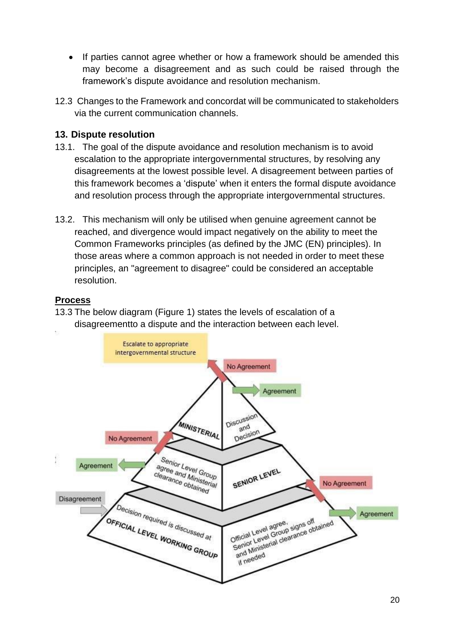- If parties cannot agree whether or how a framework should be amended this may become a disagreement and as such could be raised through the framework's dispute avoidance and resolution mechanism.
- 12.3 Changes to the Framework and concordat will be communicated to stakeholders via the current communication channels.

#### **13. Dispute resolution**

- 13.1. The goal of the dispute avoidance and resolution mechanism is to avoid escalation to the appropriate intergovernmental structures, by resolving any disagreements at the lowest possible level. A disagreement between parties of this framework becomes a 'dispute' when it enters the formal dispute avoidance and resolution process through the appropriate intergovernmental structures.
- 13.2. This mechanism will only be utilised when genuine agreement cannot be reached, and divergence would impact negatively on the ability to meet the Common Frameworks principles (as defined by the JMC (EN) principles). In those areas where a common approach is not needed in order to meet these principles, an "agreement to disagree" could be considered an acceptable resolution.

#### **Process**

13.3 The below diagram (Figure 1) states the levels of escalation of a disagreementto a dispute and the interaction between each level.

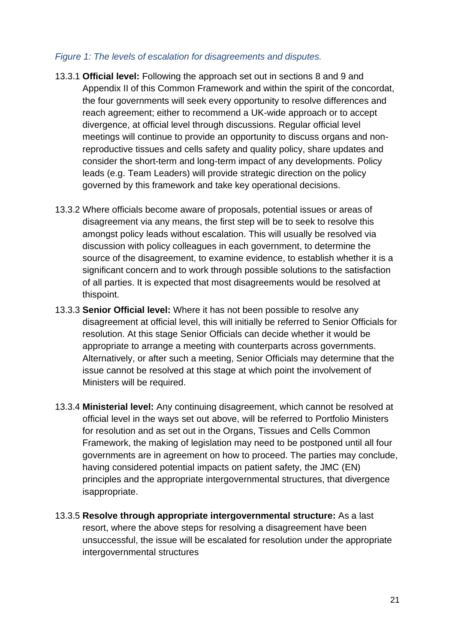#### *Figure 1: The levels of escalation for disagreements and disputes.*

- 13.3.1 **Official level:** Following the approach set out in sections 8 and 9 and Appendix II of this Common Framework and within the spirit of the concordat, the four governments will seek every opportunity to resolve differences and reach agreement; either to recommend a UK-wide approach or to accept divergence, at official level through discussions. Regular official level meetings will continue to provide an opportunity to discuss organs and nonreproductive tissues and cells safety and quality policy, share updates and consider the short-term and long-term impact of any developments. Policy leads (e.g. Team Leaders) will provide strategic direction on the policy governed by this framework and take key operational decisions.
- 13.3.2 Where officials become aware of proposals, potential issues or areas of disagreement via any means, the first step will be to seek to resolve this amongst policy leads without escalation. This will usually be resolved via discussion with policy colleagues in each government, to determine the source of the disagreement, to examine evidence, to establish whether it is a significant concern and to work through possible solutions to the satisfaction of all parties. It is expected that most disagreements would be resolved at thispoint.
- 13.3.3 **Senior Official level:** Where it has not been possible to resolve any disagreement at official level, this will initially be referred to Senior Officials for resolution. At this stage Senior Officials can decide whether it would be appropriate to arrange a meeting with counterparts across governments. Alternatively, or after such a meeting, Senior Officials may determine that the issue cannot be resolved at this stage at which point the involvement of Ministers will be required.
- 13.3.4 **Ministerial level:** Any continuing disagreement, which cannot be resolved at official level in the ways set out above, will be referred to Portfolio Ministers for resolution and as set out in the Organs, Tissues and Cells Common Framework, the making of legislation may need to be postponed until all four governments are in agreement on how to proceed. The parties may conclude, having considered potential impacts on patient safety, the JMC (EN) principles and the appropriate intergovernmental structures, that divergence isappropriate.
- 13.3.5 **Resolve through appropriate intergovernmental structure:** As a last resort, where the above steps for resolving a disagreement have been unsuccessful, the issue will be escalated for resolution under the appropriate intergovernmental structures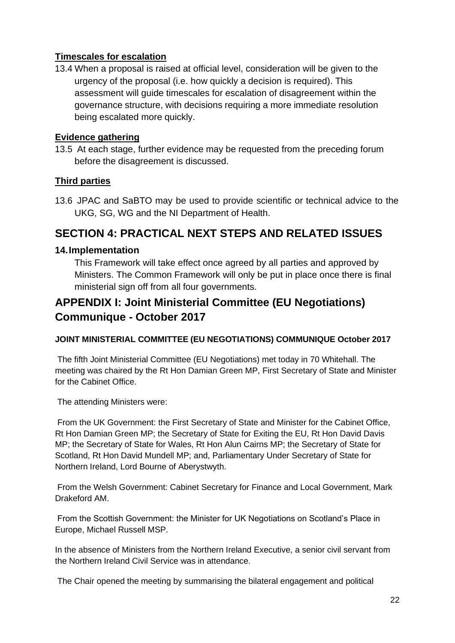#### **Timescales for escalation**

13.4 When a proposal is raised at official level, consideration will be given to the urgency of the proposal (i.e. how quickly a decision is required). This assessment will guide timescales for escalation of disagreement within the governance structure, with decisions requiring a more immediate resolution being escalated more quickly.

#### **Evidence gathering**

13.5 At each stage, further evidence may be requested from the preceding forum before the disagreement is discussed.

#### **Third parties**

13.6 JPAC and SaBTO may be used to provide scientific or technical advice to the UKG, SG, WG and the NI Department of Health.

## **SECTION 4: PRACTICAL NEXT STEPS AND RELATED ISSUES**

#### **14.Implementation**

This Framework will take effect once agreed by all parties and approved by Ministers. The Common Framework will only be put in place once there is final ministerial sign off from all four governments.

## **APPENDIX I: Joint Ministerial Committee (EU Negotiations) Communique - October 2017**

#### **JOINT MINISTERIAL COMMITTEE (EU NEGOTIATIONS) COMMUNIQUE October 2017**

The fifth Joint Ministerial Committee (EU Negotiations) met today in 70 Whitehall. The meeting was chaired by the Rt Hon Damian Green MP, First Secretary of State and Minister for the Cabinet Office.

The attending Ministers were:

From the UK Government: the First Secretary of State and Minister for the Cabinet Office, Rt Hon Damian Green MP; the Secretary of State for Exiting the EU, Rt Hon David Davis MP; the Secretary of State for Wales, Rt Hon Alun Cairns MP; the Secretary of State for Scotland, Rt Hon David Mundell MP; and, Parliamentary Under Secretary of State for Northern Ireland, Lord Bourne of Aberystwyth.

From the Welsh Government: Cabinet Secretary for Finance and Local Government, Mark Drakeford AM.

From the Scottish Government: the Minister for UK Negotiations on Scotland's Place in Europe, Michael Russell MSP.

In the absence of Ministers from the Northern Ireland Executive, a senior civil servant from the Northern Ireland Civil Service was in attendance.

The Chair opened the meeting by summarising the bilateral engagement and political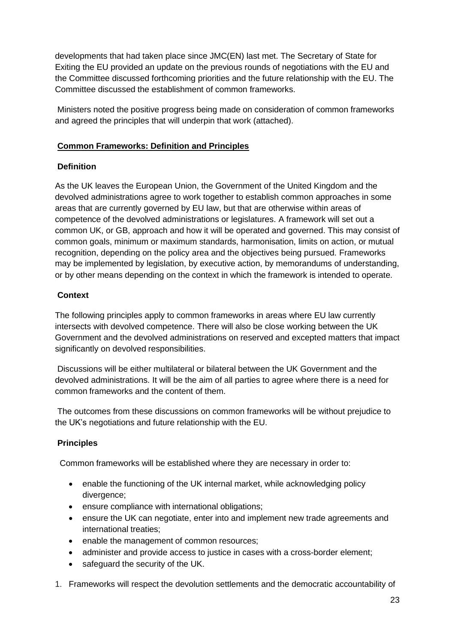developments that had taken place since JMC(EN) last met. The Secretary of State for Exiting the EU provided an update on the previous rounds of negotiations with the EU and the Committee discussed forthcoming priorities and the future relationship with the EU. The Committee discussed the establishment of common frameworks.

Ministers noted the positive progress being made on consideration of common frameworks and agreed the principles that will underpin that work (attached).

#### **Common Frameworks: Definition and Principles**

#### **Definition**

As the UK leaves the European Union, the Government of the United Kingdom and the devolved administrations agree to work together to establish common approaches in some areas that are currently governed by EU law, but that are otherwise within areas of competence of the devolved administrations or legislatures. A framework will set out a common UK, or GB, approach and how it will be operated and governed. This may consist of common goals, minimum or maximum standards, harmonisation, limits on action, or mutual recognition, depending on the policy area and the objectives being pursued. Frameworks may be implemented by legislation, by executive action, by memorandums of understanding, or by other means depending on the context in which the framework is intended to operate.

#### **Context**

The following principles apply to common frameworks in areas where EU law currently intersects with devolved competence. There will also be close working between the UK Government and the devolved administrations on reserved and excepted matters that impact significantly on devolved responsibilities.

Discussions will be either multilateral or bilateral between the UK Government and the devolved administrations. It will be the aim of all parties to agree where there is a need for common frameworks and the content of them.

The outcomes from these discussions on common frameworks will be without prejudice to the UK's negotiations and future relationship with the EU.

#### **Principles**

Common frameworks will be established where they are necessary in order to:

- enable the functioning of the UK internal market, while acknowledging policy divergence;
- ensure compliance with international obligations;
- ensure the UK can negotiate, enter into and implement new trade agreements and international treaties;
- enable the management of common resources;
- administer and provide access to justice in cases with a cross-border element;
- safeguard the security of the UK.
- 1. Frameworks will respect the devolution settlements and the democratic accountability of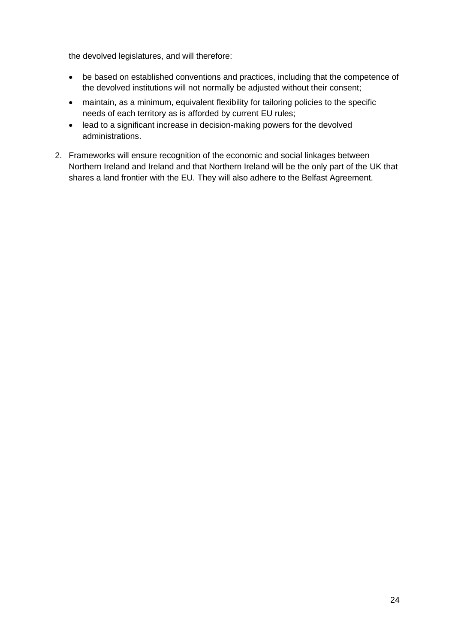the devolved legislatures, and will therefore:

- be based on established conventions and practices, including that the competence of the devolved institutions will not normally be adjusted without their consent;
- maintain, as a minimum, equivalent flexibility for tailoring policies to the specific needs of each territory as is afforded by current EU rules;
- lead to a significant increase in decision-making powers for the devolved administrations.
- 2. Frameworks will ensure recognition of the economic and social linkages between Northern Ireland and Ireland and that Northern Ireland will be the only part of the UK that shares a land frontier with the EU. They will also adhere to the Belfast Agreement.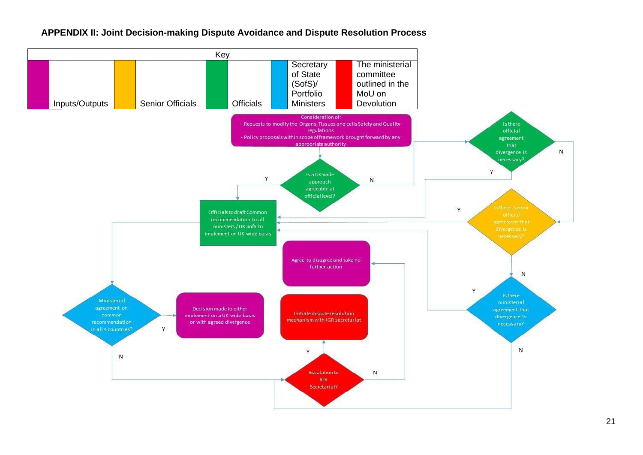

#### **APPENDIX II: Joint Decision-making Dispute Avoidance and Dispute Resolution Process**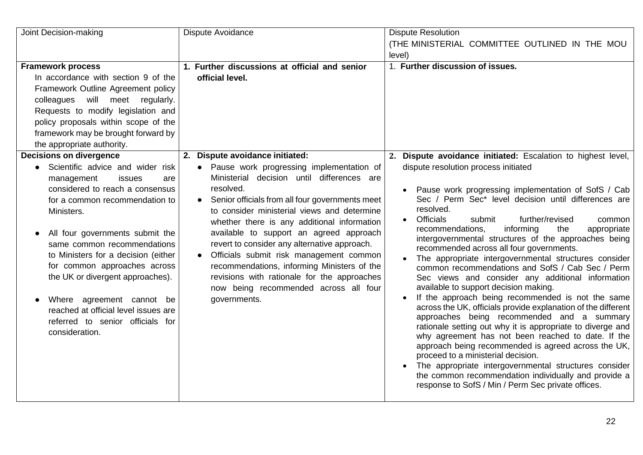| Joint Decision-making                                                                                                                                                                                                                                                                                                                                                                                                                                                                        | Dispute Avoidance                                                                                                                                                                                                                                                                                                                                                                                                                                                                                                                                                                                   | <b>Dispute Resolution</b>                                                                                                                                                                                                                                                                                                                                                                                                                                                                                                                                                                                                                                                                                                                                                                                                                                                                                                                                                                                                                                                                                                                                                                                                                  |
|----------------------------------------------------------------------------------------------------------------------------------------------------------------------------------------------------------------------------------------------------------------------------------------------------------------------------------------------------------------------------------------------------------------------------------------------------------------------------------------------|-----------------------------------------------------------------------------------------------------------------------------------------------------------------------------------------------------------------------------------------------------------------------------------------------------------------------------------------------------------------------------------------------------------------------------------------------------------------------------------------------------------------------------------------------------------------------------------------------------|--------------------------------------------------------------------------------------------------------------------------------------------------------------------------------------------------------------------------------------------------------------------------------------------------------------------------------------------------------------------------------------------------------------------------------------------------------------------------------------------------------------------------------------------------------------------------------------------------------------------------------------------------------------------------------------------------------------------------------------------------------------------------------------------------------------------------------------------------------------------------------------------------------------------------------------------------------------------------------------------------------------------------------------------------------------------------------------------------------------------------------------------------------------------------------------------------------------------------------------------|
|                                                                                                                                                                                                                                                                                                                                                                                                                                                                                              |                                                                                                                                                                                                                                                                                                                                                                                                                                                                                                                                                                                                     | (THE MINISTERIAL COMMITTEE OUTLINED IN THE MOU<br>level)                                                                                                                                                                                                                                                                                                                                                                                                                                                                                                                                                                                                                                                                                                                                                                                                                                                                                                                                                                                                                                                                                                                                                                                   |
| <b>Framework process</b><br>In accordance with section 9 of the<br>Framework Outline Agreement policy<br>colleagues will meet regularly.<br>Requests to modify legislation and<br>policy proposals within scope of the<br>framework may be brought forward by<br>the appropriate authority.                                                                                                                                                                                                  | 1. Further discussions at official and senior<br>official level.                                                                                                                                                                                                                                                                                                                                                                                                                                                                                                                                    | 1. Further discussion of issues.                                                                                                                                                                                                                                                                                                                                                                                                                                                                                                                                                                                                                                                                                                                                                                                                                                                                                                                                                                                                                                                                                                                                                                                                           |
| <b>Decisions on divergence</b><br>Scientific advice and wider risk<br>management<br>issues<br>are<br>considered to reach a consensus<br>for a common recommendation to<br>Ministers.<br>All four governments submit the<br>same common recommendations<br>to Ministers for a decision (either<br>for common approaches across<br>the UK or divergent approaches).<br>Where agreement cannot be<br>reached at official level issues are<br>referred to senior officials for<br>consideration. | 2. Dispute avoidance initiated:<br>• Pause work progressing implementation of<br>Ministerial decision until differences are<br>resolved.<br>Senior officials from all four governments meet<br>to consider ministerial views and determine<br>whether there is any additional information<br>available to support an agreed approach<br>revert to consider any alternative approach.<br>Officials submit risk management common<br>$\bullet$<br>recommendations, informing Ministers of the<br>revisions with rationale for the approaches<br>now being recommended across all four<br>governments. | 2. Dispute avoidance initiated: Escalation to highest level,<br>dispute resolution process initiated<br>Pause work progressing implementation of SofS / Cab<br>Sec / Perm Sec* level decision until differences are<br>resolved.<br><b>Officials</b><br>further/revised<br>submit<br>common<br>$\bullet$<br>recommendations,<br>informing<br>the<br>appropriate<br>intergovernmental structures of the approaches being<br>recommended across all four governments.<br>The appropriate intergovernmental structures consider<br>common recommendations and SofS / Cab Sec / Perm<br>Sec views and consider any additional information<br>available to support decision making.<br>If the approach being recommended is not the same<br>across the UK, officials provide explanation of the different<br>approaches being recommended and a summary<br>rationale setting out why it is appropriate to diverge and<br>why agreement has not been reached to date. If the<br>approach being recommended is agreed across the UK,<br>proceed to a ministerial decision.<br>The appropriate intergovernmental structures consider<br>the common recommendation individually and provide a<br>response to SofS / Min / Perm Sec private offices. |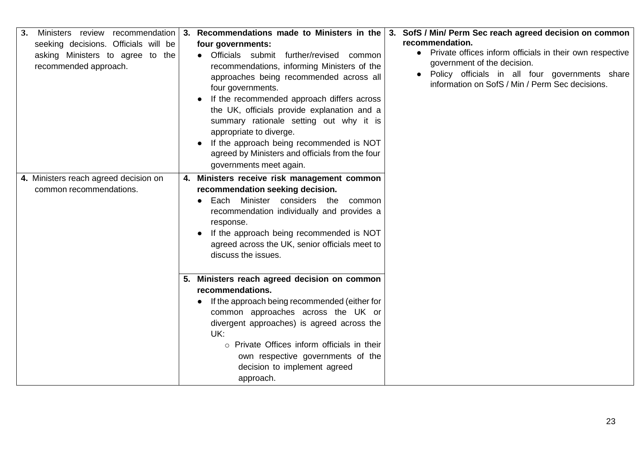| Ministers review recommendation<br>3. | Recommendations made to Ministers in the<br>3.                    | 3. SofS / Min/ Perm Sec reach agreed decision on common    |
|---------------------------------------|-------------------------------------------------------------------|------------------------------------------------------------|
| seeking decisions. Officials will be  | four governments:                                                 | recommendation.                                            |
| asking Ministers to agree to the      | • Officials submit further/revised<br>common                      | • Private offices inform officials in their own respective |
| recommended approach.                 | recommendations, informing Ministers of the                       | government of the decision.                                |
|                                       | approaches being recommended across all                           | Policy officials in all four governments share             |
|                                       | four governments.                                                 | information on SofS / Min / Perm Sec decisions.            |
|                                       | If the recommended approach differs across                        |                                                            |
|                                       | the UK, officials provide explanation and a                       |                                                            |
|                                       | summary rationale setting out why it is                           |                                                            |
|                                       | appropriate to diverge.                                           |                                                            |
|                                       | If the approach being recommended is NOT                          |                                                            |
|                                       | agreed by Ministers and officials from the four                   |                                                            |
|                                       | governments meet again.                                           |                                                            |
| 4. Ministers reach agreed decision on | 4. Ministers receive risk management common                       |                                                            |
| common recommendations.               | recommendation seeking decision.                                  |                                                            |
|                                       | Each Minister considers the<br>common                             |                                                            |
|                                       | recommendation individually and provides a                        |                                                            |
|                                       | response.                                                         |                                                            |
|                                       | If the approach being recommended is NOT                          |                                                            |
|                                       | agreed across the UK, senior officials meet to                    |                                                            |
|                                       | discuss the issues.                                               |                                                            |
|                                       |                                                                   |                                                            |
|                                       | 5. Ministers reach agreed decision on common                      |                                                            |
|                                       | recommendations.                                                  |                                                            |
|                                       | If the approach being recommended (either for                     |                                                            |
|                                       | common approaches across the UK or                                |                                                            |
|                                       | divergent approaches) is agreed across the                        |                                                            |
|                                       | UK:<br>o Private Offices inform officials in their                |                                                            |
|                                       |                                                                   |                                                            |
|                                       | own respective governments of the<br>decision to implement agreed |                                                            |
|                                       |                                                                   |                                                            |
|                                       | approach.                                                         |                                                            |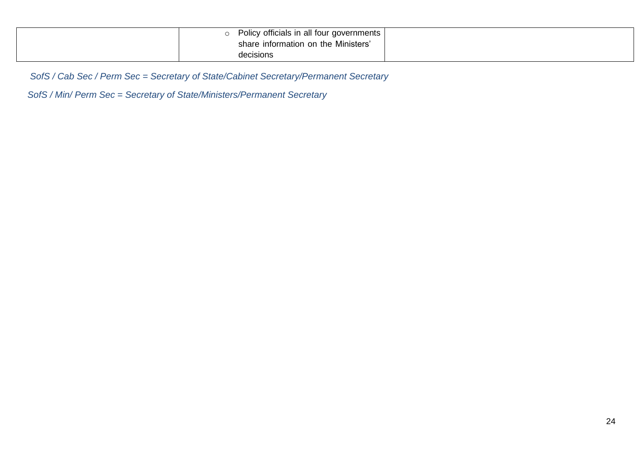| Policy officials in all four governments I |  |
|--------------------------------------------|--|
| share information on the Ministers'        |  |
| decisions                                  |  |

*SofS / Cab Sec / Perm Sec = Secretary of State/Cabinet Secretary/Permanent Secretary*

*SofS / Min/ Perm Sec = Secretary of State/Ministers/Permanent Secretary*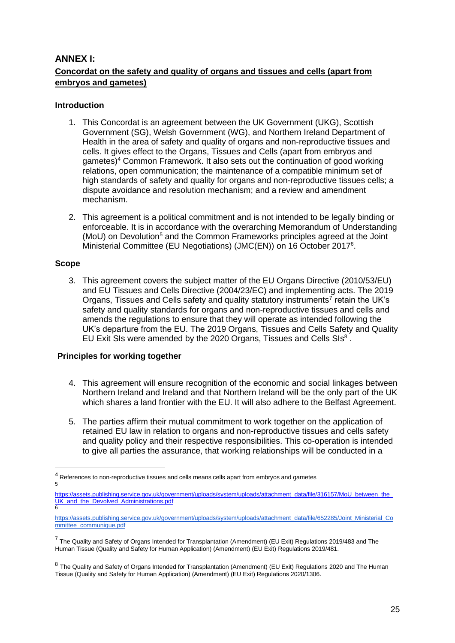#### **ANNEX I: Concordat on the safety and quality of organs and tissues and cells (apart from embryos and gametes)**

#### **Introduction**

- 1. This Concordat is an agreement between the UK Government (UKG), Scottish Government (SG), Welsh Government (WG), and Northern Ireland Department of Health in the area of safety and quality of organs and non-reproductive tissues and cells. It gives effect to the Organs, Tissues and Cells (apart from embryos and gametes)<sup>4</sup> Common Framework. It also sets out the continuation of good working relations, open communication; the maintenance of a compatible minimum set of high standards of safety and quality for organs and non-reproductive tissues cells; a dispute avoidance and resolution mechanism; and a review and amendment mechanism.
- 2. This agreement is a political commitment and is not intended to be legally binding or enforceable. It is in accordance with the overarching Memorandum of Understanding (MoU) on Devolution<sup>5</sup> and the Common Frameworks principles agreed at the Joint Ministerial Committee (EU Negotiations) (JMC(EN)) on 16 October 2017<sup>6</sup>.

#### **Scope**

3. This agreement covers the subject matter of the EU Organs Directive (2010/53/EU) and EU Tissues and Cells Directive (2004/23/EC) and implementing acts. The 2019 Organs, Tissues and Cells safety and quality statutory instruments<sup>7</sup> retain the UK's safety and quality standards for organs and non-reproductive tissues and cells and amends the regulations to ensure that they will operate as intended following the UK's departure from the EU. The 2019 Organs, Tissues and Cells Safety and Quality EU Exit SIs were amended by the 2020 Organs, Tissues and Cells SIs<sup>8</sup>.

#### **Principles for working together**

- 4. This agreement will ensure recognition of the economic and social linkages between Northern Ireland and Ireland and that Northern Ireland will be the only part of the UK which shares a land frontier with the EU. It will also adhere to the Belfast Agreement.
- 5. The parties affirm their mutual commitment to work together on the application of retained EU law in relation to organs and non-reproductive tissues and cells safety and quality policy and their respective responsibilities. This co-operation is intended to give all parties the assurance, that working relationships will be conducted in a

<sup>&</sup>lt;sup>4</sup> References to non-reproductive tissues and cells means cells apart from embryos and gametes 5

https://assets.publishing.service.gov.uk/government/uploads/system/uploads/attachment\_data/file/316157/MoU\_between\_the [UK\\_and\\_the\\_Devolved\\_Administrations.pdf](https://assets.publishing.service.gov.uk/government/uploads/system/uploads/attachment_data/file/316157/MoU_between_the_UK_and_the_Devolved_Administrations.pdf) 6

[https://assets.publishing.service.gov.uk/government/uploads/system/uploads/attachment\\_data/file/652285/Joint\\_Ministerial\\_Co](https://assets.publishing.service.gov.uk/government/uploads/system/uploads/attachment_data/file/652285/Joint_Ministerial_Committee_communique.pdf) [mmittee\\_communique.pdf](https://assets.publishing.service.gov.uk/government/uploads/system/uploads/attachment_data/file/652285/Joint_Ministerial_Committee_communique.pdf)

<sup>&</sup>lt;sup>7</sup> The Quality and Safety of Organs Intended for Transplantation (Amendment) (EU Exit) Regulations 2019/483 and The Human Tissue (Quality and Safety for Human Application) (Amendment) (EU Exit) Regulations 2019/481.

<sup>&</sup>lt;sup>8</sup> The Quality and Safety of Organs Intended for Transplantation (Amendment) (EU Exit) Regulations 2020 and The Human Tissue (Quality and Safety for Human Application) (Amendment) (EU Exit) Regulations 2020/1306.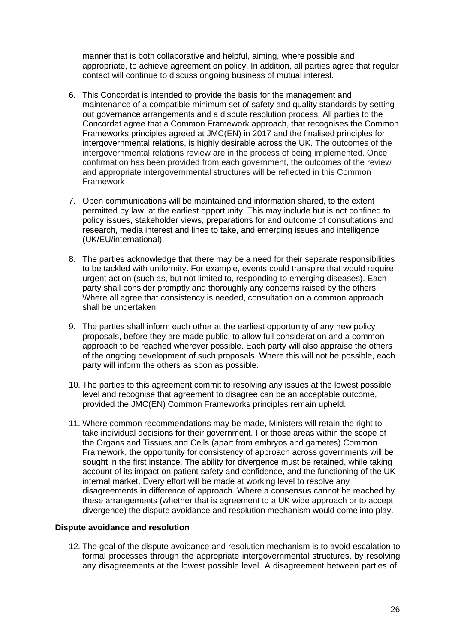manner that is both collaborative and helpful, aiming, where possible and appropriate, to achieve agreement on policy. In addition, all parties agree that regular contact will continue to discuss ongoing business of mutual interest.

- 6. This Concordat is intended to provide the basis for the management and maintenance of a compatible minimum set of safety and quality standards by setting out governance arrangements and a dispute resolution process. All parties to the Concordat agree that a Common Framework approach, that recognises the Common Frameworks principles agreed at JMC(EN) in 2017 and the finalised principles for intergovernmental relations, is highly desirable across the UK. The outcomes of the intergovernmental relations review are in the process of being implemented. Once confirmation has been provided from each government, the outcomes of the review and appropriate intergovernmental structures will be reflected in this Common Framework
- 7. Open communications will be maintained and information shared, to the extent permitted by law, at the earliest opportunity. This may include but is not confined to policy issues, stakeholder views, preparations for and outcome of consultations and research, media interest and lines to take, and emerging issues and intelligence (UK/EU/international).
- 8. The parties acknowledge that there may be a need for their separate responsibilities to be tackled with uniformity. For example, events could transpire that would require urgent action (such as, but not limited to, responding to emerging diseases). Each party shall consider promptly and thoroughly any concerns raised by the others. Where all agree that consistency is needed, consultation on a common approach shall be undertaken.
- 9. The parties shall inform each other at the earliest opportunity of any new policy proposals, before they are made public, to allow full consideration and a common approach to be reached wherever possible. Each party will also appraise the others of the ongoing development of such proposals. Where this will not be possible, each party will inform the others as soon as possible.
- 10. The parties to this agreement commit to resolving any issues at the lowest possible level and recognise that agreement to disagree can be an acceptable outcome, provided the JMC(EN) Common Frameworks principles remain upheld.
- 11. Where common recommendations may be made, Ministers will retain the right to take individual decisions for their government. For those areas within the scope of the Organs and Tissues and Cells (apart from embryos and gametes) Common Framework, the opportunity for consistency of approach across governments will be sought in the first instance. The ability for divergence must be retained, while taking account of its impact on patient safety and confidence, and the functioning of the UK internal market. Every effort will be made at working level to resolve any disagreements in difference of approach. Where a consensus cannot be reached by these arrangements (whether that is agreement to a UK wide approach or to accept divergence) the dispute avoidance and resolution mechanism would come into play.

#### **Dispute avoidance and resolution**

12. The goal of the dispute avoidance and resolution mechanism is to avoid escalation to formal processes through the appropriate intergovernmental structures, by resolving any disagreements at the lowest possible level. A disagreement between parties of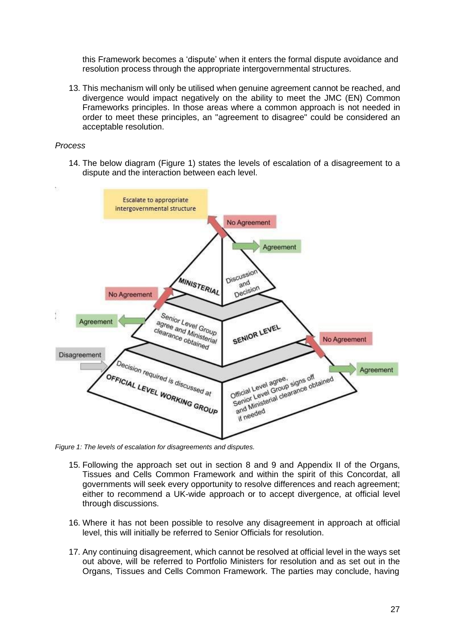this Framework becomes a 'dispute' when it enters the formal dispute avoidance and resolution process through the appropriate intergovernmental structures.

13. This mechanism will only be utilised when genuine agreement cannot be reached, and divergence would impact negatively on the ability to meet the JMC (EN) Common Frameworks principles. In those areas where a common approach is not needed in order to meet these principles, an "agreement to disagree" could be considered an acceptable resolution.

#### *Process*

14. The below diagram (Figure 1) states the levels of escalation of a disagreement to a dispute and the interaction between each level.



*Figure 1: The levels of escalation for disagreements and disputes.*

- 15. Following the approach set out in section 8 and 9 and Appendix II of the Organs, Tissues and Cells Common Framework and within the spirit of this Concordat, all governments will seek every opportunity to resolve differences and reach agreement; either to recommend a UK-wide approach or to accept divergence, at official level through discussions.
- 16. Where it has not been possible to resolve any disagreement in approach at official level, this will initially be referred to Senior Officials for resolution.
- 17. Any continuing disagreement, which cannot be resolved at official level in the ways set out above, will be referred to Portfolio Ministers for resolution and as set out in the Organs, Tissues and Cells Common Framework. The parties may conclude, having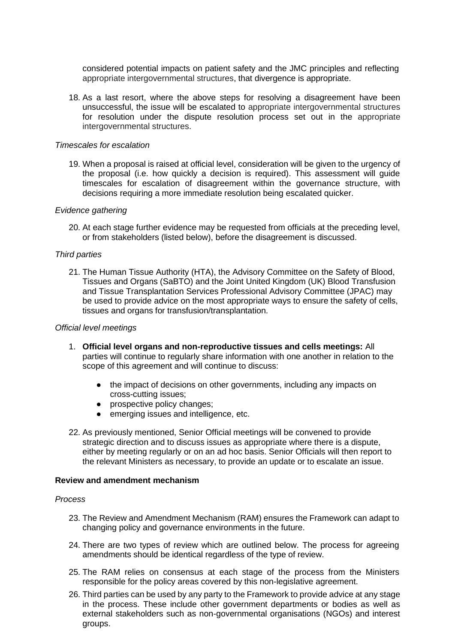considered potential impacts on patient safety and the JMC principles and reflecting appropriate intergovernmental structures, that divergence is appropriate.

18. As a last resort, where the above steps for resolving a disagreement have been unsuccessful, the issue will be escalated to appropriate intergovernmental structures for resolution under the dispute resolution process set out in the appropriate intergovernmental structures.

#### *Timescales for escalation*

19. When a proposal is raised at official level, consideration will be given to the urgency of the proposal (i.e. how quickly a decision is required). This assessment will guide timescales for escalation of disagreement within the governance structure, with decisions requiring a more immediate resolution being escalated quicker.

#### *Evidence gathering*

20. At each stage further evidence may be requested from officials at the preceding level, or from stakeholders (listed below), before the disagreement is discussed.

#### *Third parties*

21. The Human Tissue Authority (HTA), the Advisory Committee on the Safety of Blood, Tissues and Organs (SaBTO) and the Joint United Kingdom (UK) Blood Transfusion and Tissue Transplantation Services Professional Advisory Committee (JPAC) may be used to provide advice on the most appropriate ways to ensure the safety of cells, tissues and organs for transfusion/transplantation.

#### *Official level meetings*

- 1. **Official level organs and non-reproductive tissues and cells meetings:** All parties will continue to regularly share information with one another in relation to the scope of this agreement and will continue to discuss:
	- the impact of decisions on other governments, including any impacts on cross-cutting issues;
	- prospective policy changes;
	- emerging issues and intelligence, etc.
- 22. As previously mentioned, Senior Official meetings will be convened to provide strategic direction and to discuss issues as appropriate where there is a dispute, either by meeting regularly or on an ad hoc basis. Senior Officials will then report to the relevant Ministers as necessary, to provide an update or to escalate an issue.

#### **Review and amendment mechanism**

#### *Process*

- 23. The Review and Amendment Mechanism (RAM) ensures the Framework can adapt to changing policy and governance environments in the future.
- 24. There are two types of review which are outlined below. The process for agreeing amendments should be identical regardless of the type of review.
- 25. The RAM relies on consensus at each stage of the process from the Ministers responsible for the policy areas covered by this non-legislative agreement.
- 26. Third parties can be used by any party to the Framework to provide advice at any stage in the process. These include other government departments or bodies as well as external stakeholders such as non-governmental organisations (NGOs) and interest groups.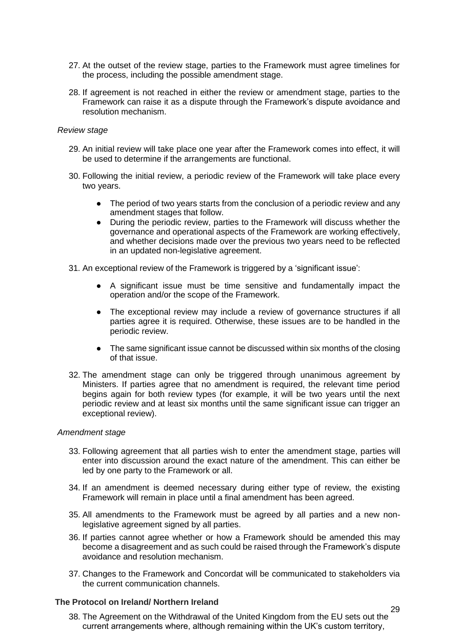- 27. At the outset of the review stage, parties to the Framework must agree timelines for the process, including the possible amendment stage.
- 28. If agreement is not reached in either the review or amendment stage, parties to the Framework can raise it as a dispute through the Framework's dispute avoidance and resolution mechanism.

#### *Review stage*

- 29. An initial review will take place one year after the Framework comes into effect, it will be used to determine if the arrangements are functional.
- 30. Following the initial review, a periodic review of the Framework will take place every two years.
	- The period of two years starts from the conclusion of a periodic review and any amendment stages that follow.
	- During the periodic review, parties to the Framework will discuss whether the governance and operational aspects of the Framework are working effectively, and whether decisions made over the previous two years need to be reflected in an updated non-legislative agreement.
- 31. An exceptional review of the Framework is triggered by a 'significant issue':
	- A significant issue must be time sensitive and fundamentally impact the operation and/or the scope of the Framework.
	- The exceptional review may include a review of governance structures if all parties agree it is required. Otherwise, these issues are to be handled in the periodic review.
	- The same significant issue cannot be discussed within six months of the closing of that issue.
- 32. The amendment stage can only be triggered through unanimous agreement by Ministers. If parties agree that no amendment is required, the relevant time period begins again for both review types (for example, it will be two years until the next periodic review and at least six months until the same significant issue can trigger an exceptional review).

#### *Amendment stage*

- 33. Following agreement that all parties wish to enter the amendment stage, parties will enter into discussion around the exact nature of the amendment. This can either be led by one party to the Framework or all.
- 34. If an amendment is deemed necessary during either type of review, the existing Framework will remain in place until a final amendment has been agreed.
- 35. All amendments to the Framework must be agreed by all parties and a new nonlegislative agreement signed by all parties.
- 36. If parties cannot agree whether or how a Framework should be amended this may become a disagreement and as such could be raised through the Framework's dispute avoidance and resolution mechanism.
- 37. Changes to the Framework and Concordat will be communicated to stakeholders via the current communication channels.

#### **The Protocol on Ireland/ Northern Ireland**

38. The Agreement on the Withdrawal of the United Kingdom from the EU sets out the current arrangements where, although remaining within the UK's custom territory,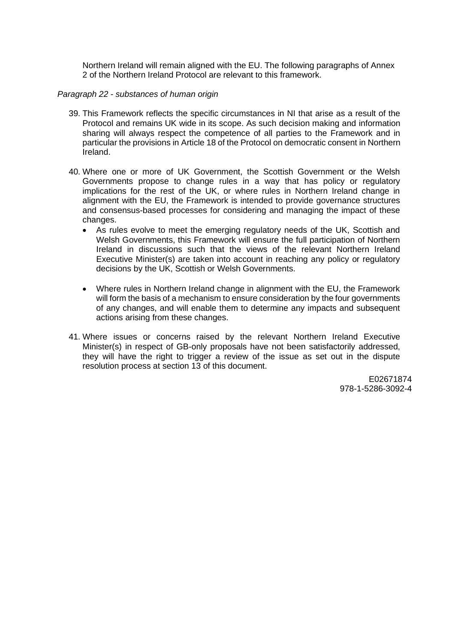Northern Ireland will remain aligned with the EU. The following paragraphs of Annex 2 of the Northern Ireland Protocol are relevant to this framework.

#### *Paragraph 22 - substances of human origin*

- 39. This Framework reflects the specific circumstances in NI that arise as a result of the Protocol and remains UK wide in its scope. As such decision making and information sharing will always respect the competence of all parties to the Framework and in particular the provisions in Article 18 of the Protocol on democratic consent in Northern Ireland.
- 40. Where one or more of UK Government, the Scottish Government or the Welsh Governments propose to change rules in a way that has policy or regulatory implications for the rest of the UK, or where rules in Northern Ireland change in alignment with the EU, the Framework is intended to provide governance structures and consensus-based processes for considering and managing the impact of these changes.
	- As rules evolve to meet the emerging regulatory needs of the UK, Scottish and Welsh Governments, this Framework will ensure the full participation of Northern Ireland in discussions such that the views of the relevant Northern Ireland Executive Minister(s) are taken into account in reaching any policy or regulatory decisions by the UK, Scottish or Welsh Governments.
	- Where rules in Northern Ireland change in alignment with the EU, the Framework will form the basis of a mechanism to ensure consideration by the four governments of any changes, and will enable them to determine any impacts and subsequent actions arising from these changes.
- 41. Where issues or concerns raised by the relevant Northern Ireland Executive Minister(s) in respect of GB-only proposals have not been satisfactorily addressed, they will have the right to trigger a review of the issue as set out in the dispute resolution process at section 13 of this document.

E02671874 978-1-5286-3092-4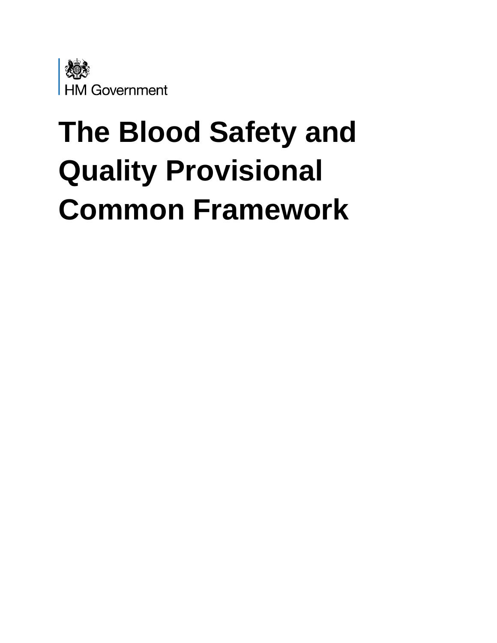

# **The Blood Safety and Quality Provisional Common Framework**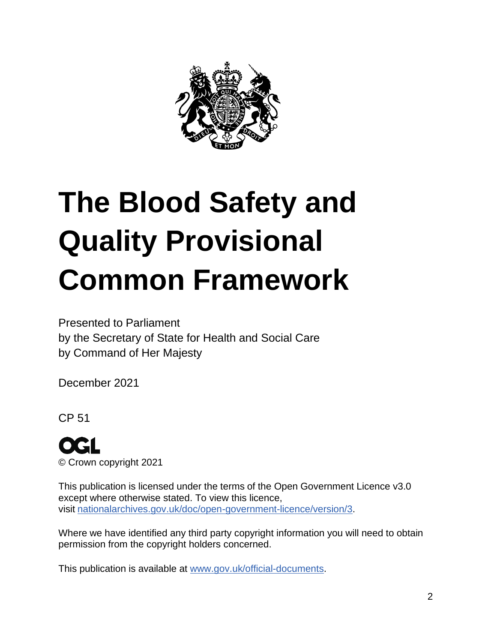

# **The Blood Safety and Quality Provisional Common Framework**

Presented to Parliament by the Secretary of State for Health and Social Care by Command of Her Majesty

December 2021

CP 51



This publication is licensed under the terms of the Open Government Licence v3.0 except where otherwise stated. To view this licence, visit [nationalarchives.gov.uk/doc/open-government-licence/version/3.](http://www.nationalarchives.gov.uk/doc/open-government-licence/version/3)

Where we have identified any third party copyright information you will need to obtain permission from the copyright holders concerned.

This publication is available at [www.gov.uk/official-documents.](https://www.gov.uk/government/publications)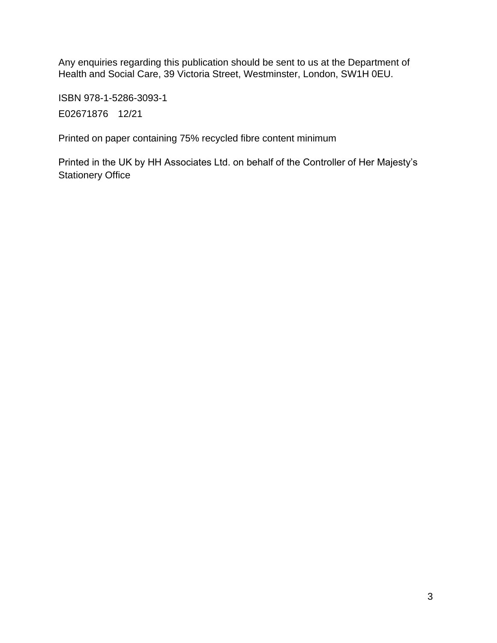Any enquiries regarding this publication should be sent to us at the Department of Health and Social Care, 39 Victoria Street, Westminster, London, SW1H 0EU.

ISBN 978-1-5286-3093-1 E02671876 12/21

Printed on paper containing 75% recycled fibre content minimum

Printed in the UK by HH Associates Ltd. on behalf of the Controller of Her Majesty's Stationery Office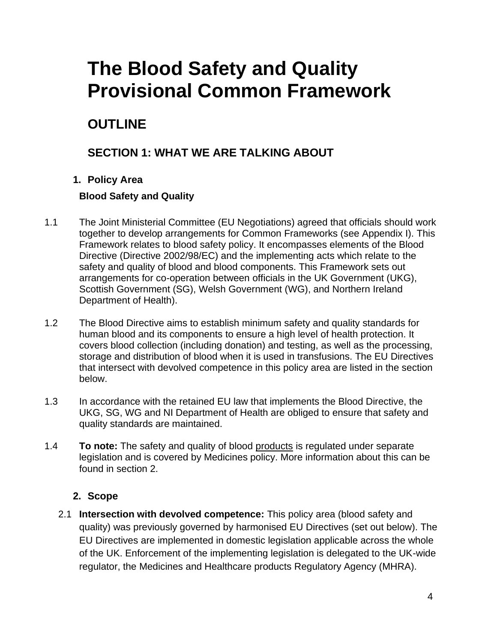# **The Blood Safety and Quality Provisional Common Framework**

# **OUTLINE**

## **SECTION 1: WHAT WE ARE TALKING ABOUT**

#### **1. Policy Area**

#### **Blood Safety and Quality**

- 1.1 The Joint Ministerial Committee (EU Negotiations) agreed that officials should work together to develop arrangements for Common Frameworks (see Appendix I). This Framework relates to blood safety policy. It encompasses elements of the Blood Directive (Directive 2002/98/EC) and the implementing acts which relate to the safety and quality of blood and blood components. This Framework sets out arrangements for co-operation between officials in the UK Government (UKG), Scottish Government (SG), Welsh Government (WG), and Northern Ireland Department of Health).
- 1.2 The Blood Directive aims to establish minimum safety and quality standards for human blood and its components to ensure a high level of health protection. It covers blood collection (including donation) and testing, as well as the processing, storage and distribution of blood when it is used in transfusions. The EU Directives that intersect with devolved competence in this policy area are listed in the section below.
- 1.3 In accordance with the retained EU law that implements the Blood Directive, the UKG, SG, WG and NI Department of Health are obliged to ensure that safety and quality standards are maintained.
- 1.4 **To note:** The safety and quality of blood products is regulated under separate legislation and is covered by Medicines policy. More information about this can be found in section 2.

#### **2. Scope**

2.1 **Intersection with devolved competence:** This policy area (blood safety and quality) was previously governed by harmonised EU Directives (set out below). The EU Directives are implemented in domestic legislation applicable across the whole of the UK. Enforcement of the implementing legislation is delegated to the UK-wide regulator, the Medicines and Healthcare products Regulatory Agency (MHRA).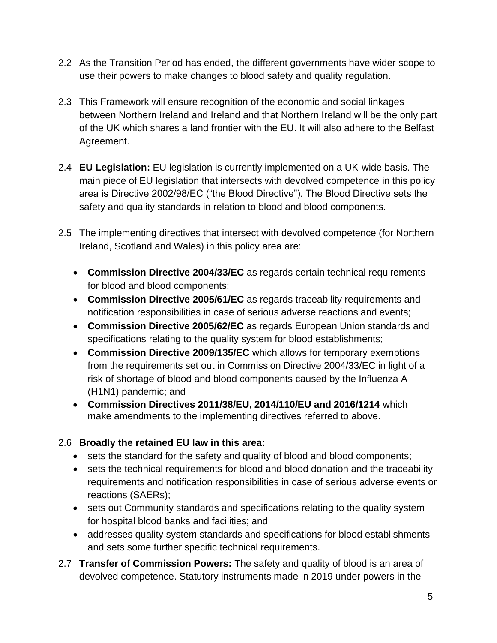- 2.2 As the Transition Period has ended, the different governments have wider scope to use their powers to make changes to blood safety and quality regulation.
- 2.3 This Framework will ensure recognition of the economic and social linkages between Northern Ireland and Ireland and that Northern Ireland will be the only part of the UK which shares a land frontier with the EU. It will also adhere to the Belfast Agreement.
- 2.4 **EU Legislation:** EU legislation is currently implemented on a UK-wide basis. The main piece of EU legislation that intersects with devolved competence in this policy area is Directive 2002/98/EC ("the Blood Directive"). The Blood Directive sets the safety and quality standards in relation to blood and blood components.
- 2.5 The implementing directives that intersect with devolved competence (for Northern Ireland, Scotland and Wales) in this policy area are:
	- **Commission Directive 2004/33/EC** as regards certain technical requirements for blood and blood components;
	- **Commission Directive 2005/61/EC** as regards traceability requirements and notification responsibilities in case of serious adverse reactions and events;
	- **Commission Directive 2005/62/EC** as regards European Union standards and specifications relating to the quality system for blood establishments;
	- **Commission Directive 2009/135/EC** which allows for temporary exemptions from the requirements set out in Commission Directive 2004/33/EC in light of a risk of shortage of blood and blood components caused by the Influenza A (H1N1) pandemic; and
	- **Commission Directives 2011/38/EU, 2014/110/EU and 2016/1214** which make amendments to the implementing directives referred to above.

#### 2.6 **Broadly the retained EU law in this area:**

- sets the standard for the safety and quality of blood and blood components;
- sets the technical requirements for blood and blood donation and the traceability requirements and notification responsibilities in case of serious adverse events or reactions (SAERs);
- sets out Community standards and specifications relating to the quality system for hospital blood banks and facilities; and
- addresses quality system standards and specifications for blood establishments and sets some further specific technical requirements.
- 2.7 **Transfer of Commission Powers:** The safety and quality of blood is an area of devolved competence. Statutory instruments made in 2019 under powers in the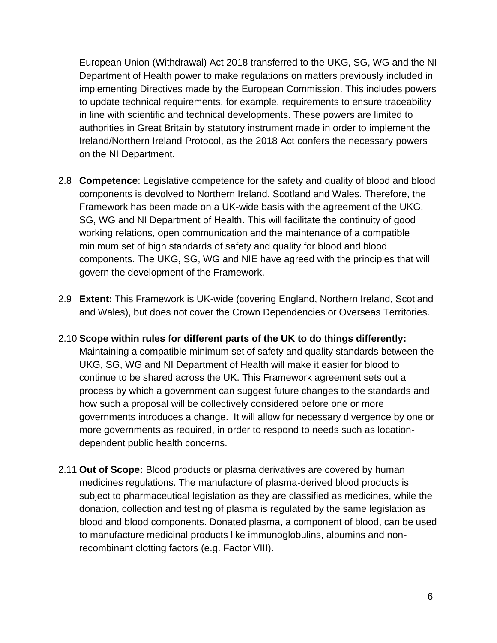European Union (Withdrawal) Act 2018 transferred to the UKG, SG, WG and the NI Department of Health power to make regulations on matters previously included in implementing Directives made by the European Commission. This includes powers to update technical requirements, for example, requirements to ensure traceability in line with scientific and technical developments. These powers are limited to authorities in Great Britain by statutory instrument made in order to implement the Ireland/Northern Ireland Protocol, as the 2018 Act confers the necessary powers on the NI Department.

- 2.8 **Competence**: Legislative competence for the safety and quality of blood and blood components is devolved to Northern Ireland, Scotland and Wales. Therefore, the Framework has been made on a UK-wide basis with the agreement of the UKG, SG, WG and NI Department of Health. This will facilitate the continuity of good working relations, open communication and the maintenance of a compatible minimum set of high standards of safety and quality for blood and blood components. The UKG, SG, WG and NIE have agreed with the principles that will govern the development of the Framework.
- 2.9 **Extent:** This Framework is UK-wide (covering England, Northern Ireland, Scotland and Wales), but does not cover the Crown Dependencies or Overseas Territories.
- 2.10 **Scope within rules for different parts of the UK to do things differently:** Maintaining a compatible minimum set of safety and quality standards between the UKG, SG, WG and NI Department of Health will make it easier for blood to continue to be shared across the UK. This Framework agreement sets out a process by which a government can suggest future changes to the standards and how such a proposal will be collectively considered before one or more governments introduces a change. It will allow for necessary divergence by one or more governments as required, in order to respond to needs such as locationdependent public health concerns.
- 2.11 **Out of Scope:** Blood products or plasma derivatives are covered by human medicines regulations. The manufacture of plasma-derived blood products is subject to pharmaceutical legislation as they are classified as medicines, while the donation, collection and testing of plasma is regulated by the same legislation as blood and blood components. Donated plasma, a component of blood, can be used to manufacture medicinal products like immunoglobulins, albumins and nonrecombinant clotting factors (e.g. Factor VIII).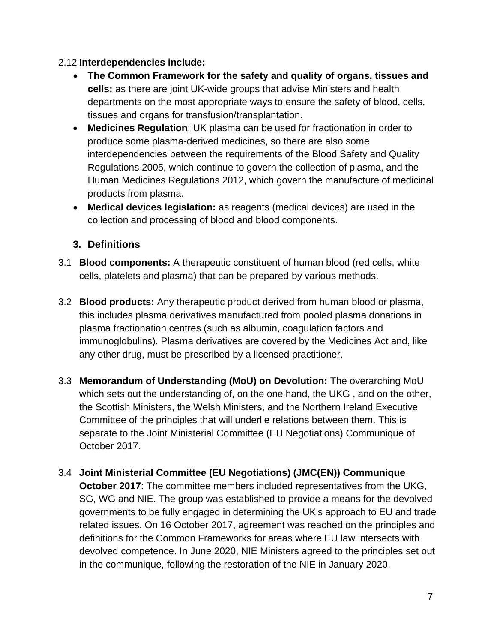#### 2.12 **Interdependencies include:**

- **The Common Framework for the safety and quality of organs, tissues and cells:** as there are joint UK-wide groups that advise Ministers and health departments on the most appropriate ways to ensure the safety of blood, cells, tissues and organs for transfusion/transplantation.
- **Medicines Regulation**: UK plasma can be used for fractionation in order to produce some plasma-derived medicines, so there are also some interdependencies between the requirements of the Blood Safety and Quality Regulations 2005, which continue to govern the collection of plasma, and the Human Medicines Regulations 2012, which govern the manufacture of medicinal products from plasma.
- **Medical devices legislation:** as reagents (medical devices) are used in the collection and processing of blood and blood components.

#### **3. Definitions**

- 3.1 **Blood components:** A therapeutic constituent of human blood (red cells, white cells, platelets and plasma) that can be prepared by various methods.
- 3.2 **Blood products:** Any therapeutic product derived from human blood or plasma, this includes plasma derivatives manufactured from pooled plasma donations in plasma fractionation centres (such as albumin, coagulation factors and immunoglobulins). Plasma derivatives are covered by the Medicines Act and, like any other drug, must be prescribed by a licensed practitioner.
- 3.3 **Memorandum of Understanding (MoU) on Devolution:** The overarching MoU which sets out the understanding of, on the one hand, the UKG , and on the other, the Scottish Ministers, the Welsh Ministers, and the Northern Ireland Executive Committee of the principles that will underlie relations between them. This is separate to the Joint Ministerial Committee (EU Negotiations) Communique of October 2017.
- 3.4 **Joint Ministerial Committee (EU Negotiations) (JMC(EN)) Communique October 2017**: The committee members included representatives from the UKG, SG, WG and NIE. The group was established to provide a means for the devolved governments to be fully engaged in determining the UK's approach to EU and trade related issues. On 16 October 2017, agreement was reached on the principles and definitions for the Common Frameworks for areas where EU law intersects with devolved competence. In June 2020, NIE Ministers agreed to the principles set out in the communique, following the restoration of the NIE in January 2020.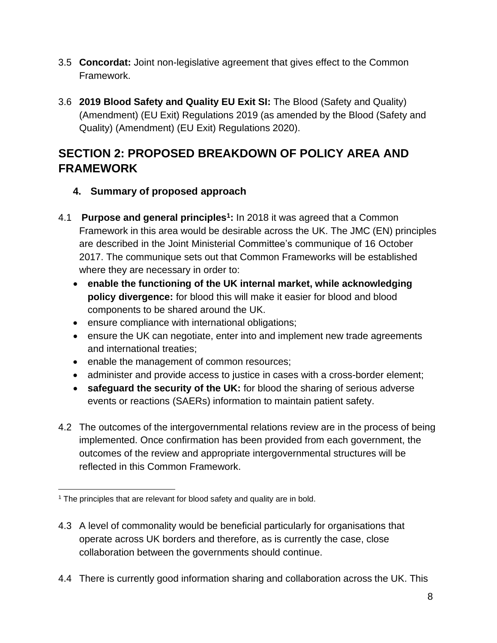- 3.5 **Concordat:** Joint non-legislative agreement that gives effect to the Common Framework.
- 3.6 **2019 Blood Safety and Quality EU Exit SI:** The Blood (Safety and Quality) (Amendment) (EU Exit) Regulations 2019 (as amended by the Blood (Safety and Quality) (Amendment) (EU Exit) Regulations 2020).

# **SECTION 2: PROPOSED BREAKDOWN OF POLICY AREA AND FRAMEWORK**

- **4. Summary of proposed approach**
- 4.1 **Purpose and general principles<sup>1</sup> :** In 2018 it was agreed that a Common Framework in this area would be desirable across the UK. The JMC (EN) principles are described in the Joint Ministerial Committee's communique of 16 October 2017. The communique sets out that Common Frameworks will be established where they are necessary in order to:
	- **enable the functioning of the UK internal market, while acknowledging policy divergence:** for blood this will make it easier for blood and blood components to be shared around the UK.
	- ensure compliance with international obligations;
	- ensure the UK can negotiate, enter into and implement new trade agreements and international treaties;
	- enable the management of common resources;
	- administer and provide access to justice in cases with a cross-border element;
	- **safeguard the security of the UK:** for blood the sharing of serious adverse events or reactions (SAERs) information to maintain patient safety.
- 4.2 The outcomes of the intergovernmental relations review are in the process of being implemented. Once confirmation has been provided from each government, the outcomes of the review and appropriate intergovernmental structures will be reflected in this Common Framework.

- 4.3 A level of commonality would be beneficial particularly for organisations that operate across UK borders and therefore, as is currently the case, close collaboration between the governments should continue.
- 4.4 There is currently good information sharing and collaboration across the UK. This

<sup>&</sup>lt;sup>1</sup> The principles that are relevant for blood safety and quality are in bold.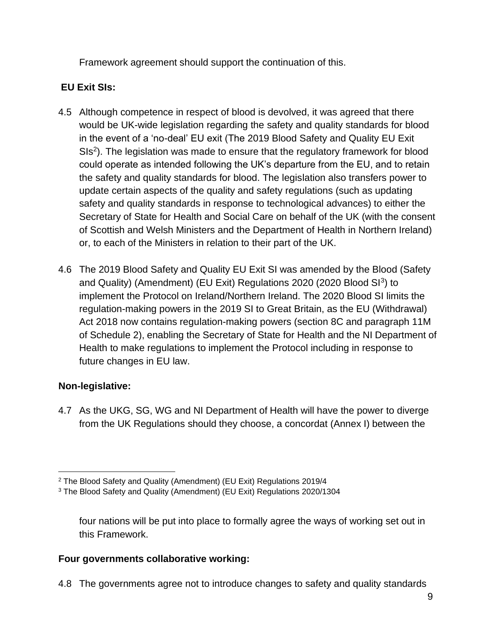Framework agreement should support the continuation of this.

#### **EU Exit SIs:**

- 4.5 Although competence in respect of blood is devolved, it was agreed that there would be UK-wide legislation regarding the safety and quality standards for blood in the event of a 'no-deal' EU exit (The 2019 Blood Safety and Quality EU Exit SIs<sup>2</sup>). The legislation was made to ensure that the regulatory framework for blood could operate as intended following the UK's departure from the EU, and to retain the safety and quality standards for blood. The legislation also transfers power to update certain aspects of the quality and safety regulations (such as updating safety and quality standards in response to technological advances) to either the Secretary of State for Health and Social Care on behalf of the UK (with the consent of Scottish and Welsh Ministers and the Department of Health in Northern Ireland) or, to each of the Ministers in relation to their part of the UK.
- 4.6 The 2019 Blood Safety and Quality EU Exit SI was amended by the Blood (Safety and Quality) (Amendment) (EU Exit) Regulations 2020 (2020 Blood SI<sup>3</sup>) to implement the Protocol on Ireland/Northern Ireland. The 2020 Blood SI limits the regulation-making powers in the 2019 SI to Great Britain, as the EU (Withdrawal) Act 2018 now contains regulation-making powers (section 8C and paragraph 11M of Schedule 2), enabling the Secretary of State for Health and the NI Department of Health to make regulations to implement the Protocol including in response to future changes in EU law.

#### **Non-legislative:**

4.7 As the UKG, SG, WG and NI Department of Health will have the power to diverge from the UK Regulations should they choose, a concordat (Annex I) between the

four nations will be put into place to formally agree the ways of working set out in this Framework.

#### **Four governments collaborative working:**

4.8 The governments agree not to introduce changes to safety and quality standards

<sup>2</sup> The Blood Safety and Quality (Amendment) (EU Exit) Regulations 2019/4

<sup>3</sup> The Blood Safety and Quality (Amendment) (EU Exit) Regulations 2020/1304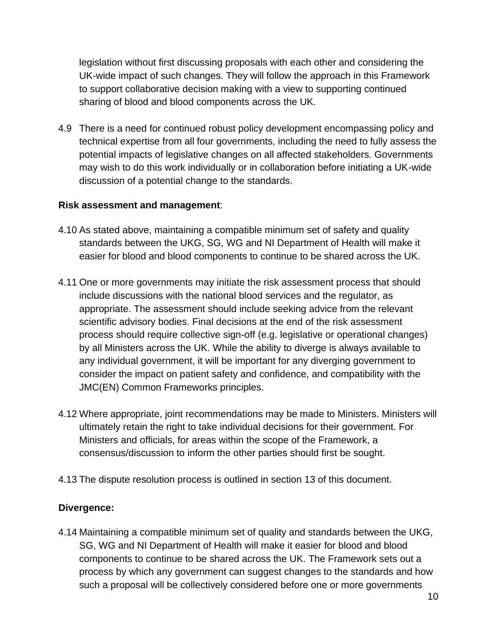legislation without first discussing proposals with each other and considering the UK-wide impact of such changes. They will follow the approach in this Framework to support collaborative decision making with a view to supporting continued sharing of blood and blood components across the UK.

4.9 There is a need for continued robust policy development encompassing policy and technical expertise from all four governments, including the need to fully assess the potential impacts of legislative changes on all affected stakeholders. Governments may wish to do this work individually or in collaboration before initiating a UK-wide discussion of a potential change to the standards.

#### **Risk assessment and management**:

- 4.10 As stated above, maintaining a compatible minimum set of safety and quality standards between the UKG, SG, WG and NI Department of Health will make it easier for blood and blood components to continue to be shared across the UK.
- 4.11 One or more governments may initiate the risk assessment process that should include discussions with the national blood services and the regulator, as appropriate. The assessment should include seeking advice from the relevant scientific advisory bodies. Final decisions at the end of the risk assessment process should require collective sign-off (e.g. legislative or operational changes) by all Ministers across the UK. While the ability to diverge is always available to any individual government, it will be important for any diverging government to consider the impact on patient safety and confidence, and compatibility with the JMC(EN) Common Frameworks principles.
- 4.12 Where appropriate, joint recommendations may be made to Ministers. Ministers will ultimately retain the right to take individual decisions for their government. For Ministers and officials, for areas within the scope of the Framework, a consensus/discussion to inform the other parties should first be sought.
- 4.13 The dispute resolution process is outlined in section 13 of this document.

#### **Divergence:**

4.14 Maintaining a compatible minimum set of quality and standards between the UKG, SG, WG and NI Department of Health will make it easier for blood and blood components to continue to be shared across the UK. The Framework sets out a process by which any government can suggest changes to the standards and how such a proposal will be collectively considered before one or more governments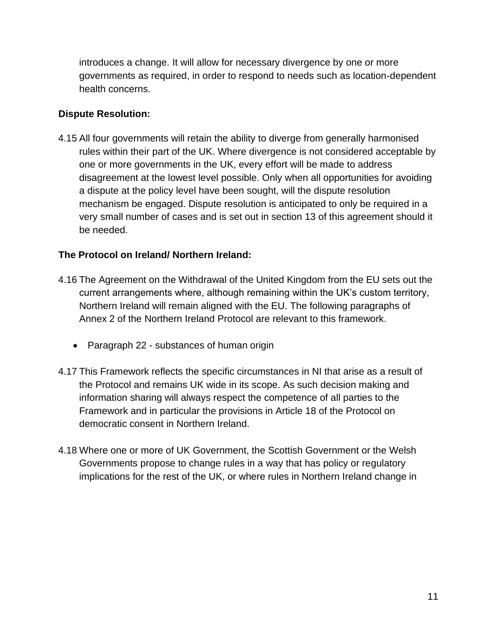introduces a change. It will allow for necessary divergence by one or more governments as required, in order to respond to needs such as location-dependent health concerns.

#### **Dispute Resolution:**

4.15 All four governments will retain the ability to diverge from generally harmonised rules within their part of the UK. Where divergence is not considered acceptable by one or more governments in the UK, every effort will be made to address disagreement at the lowest level possible. Only when all opportunities for avoiding a dispute at the policy level have been sought, will the dispute resolution mechanism be engaged. Dispute resolution is anticipated to only be required in a very small number of cases and is set out in section 13 of this agreement should it be needed.

#### **The Protocol on Ireland/ Northern Ireland:**

- 4.16 The Agreement on the Withdrawal of the United Kingdom from the EU sets out the current arrangements where, although remaining within the UK's custom territory, Northern Ireland will remain aligned with the EU. The following paragraphs of Annex 2 of the Northern Ireland Protocol are relevant to this framework.
	- Paragraph 22 substances of human origin
- 4.17 This Framework reflects the specific circumstances in NI that arise as a result of the Protocol and remains UK wide in its scope. As such decision making and information sharing will always respect the competence of all parties to the Framework and in particular the provisions in Article 18 of the Protocol on democratic consent in Northern Ireland.
- 4.18 Where one or more of UK Government, the Scottish Government or the Welsh Governments propose to change rules in a way that has policy or regulatory implications for the rest of the UK, or where rules in Northern Ireland change in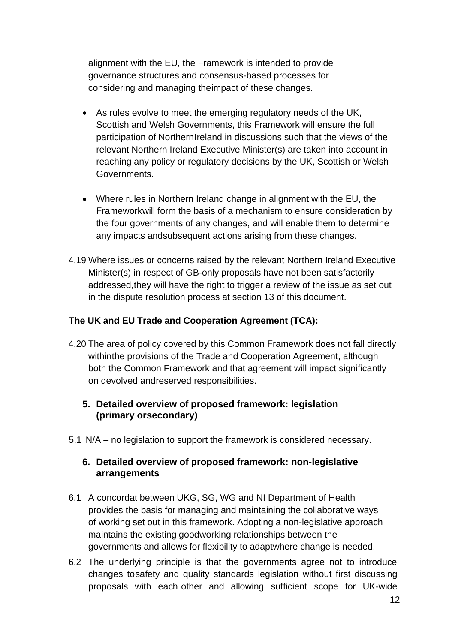alignment with the EU, the Framework is intended to provide governance structures and consensus-based processes for considering and managing theimpact of these changes.

- As rules evolve to meet the emerging regulatory needs of the UK, Scottish and Welsh Governments, this Framework will ensure the full participation of NorthernIreland in discussions such that the views of the relevant Northern Ireland Executive Minister(s) are taken into account in reaching any policy or regulatory decisions by the UK, Scottish or Welsh Governments.
- Where rules in Northern Ireland change in alignment with the EU, the Frameworkwill form the basis of a mechanism to ensure consideration by the four governments of any changes, and will enable them to determine any impacts andsubsequent actions arising from these changes.
- 4.19 Where issues or concerns raised by the relevant Northern Ireland Executive Minister(s) in respect of GB-only proposals have not been satisfactorily addressed,they will have the right to trigger a review of the issue as set out in the dispute resolution process at section 13 of this document.

#### **The UK and EU Trade and Cooperation Agreement (TCA):**

- 4.20 The area of policy covered by this Common Framework does not fall directly withinthe provisions of the Trade and Cooperation Agreement, although both the Common Framework and that agreement will impact significantly on devolved andreserved responsibilities.
	- **5. Detailed overview of proposed framework: legislation (primary orsecondary)**
- 5.1 N/A no legislation to support the framework is considered necessary.

#### **6. Detailed overview of proposed framework: non-legislative arrangements**

- 6.1 A concordat between UKG, SG, WG and NI Department of Health provides the basis for managing and maintaining the collaborative ways of working set out in this framework. Adopting a non-legislative approach maintains the existing goodworking relationships between the governments and allows for flexibility to adaptwhere change is needed.
- 6.2 The underlying principle is that the governments agree not to introduce changes tosafety and quality standards legislation without first discussing proposals with each other and allowing sufficient scope for UK-wide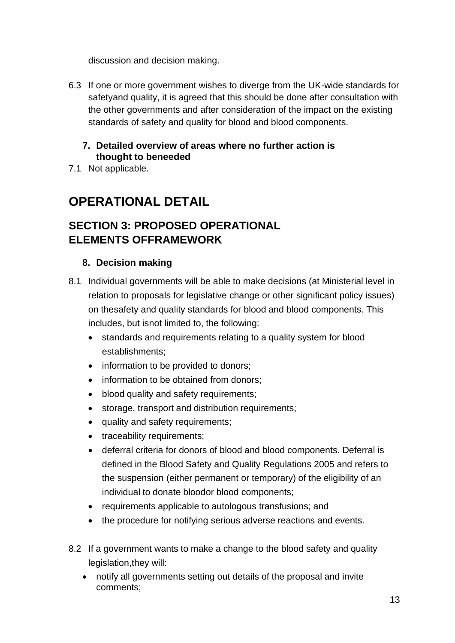discussion and decision making.

- 6.3 If one or more government wishes to diverge from the UK-wide standards for safetyand quality, it is agreed that this should be done after consultation with the other governments and after consideration of the impact on the existing standards of safety and quality for blood and blood components.
	- **7. Detailed overview of areas where no further action is thought to beneeded**
- 7.1 Not applicable.

# **OPERATIONAL DETAIL**

# **SECTION 3: PROPOSED OPERATIONAL ELEMENTS OFFRAMEWORK**

#### **8. Decision making**

- 8.1 Individual governments will be able to make decisions (at Ministerial level in relation to proposals for legislative change or other significant policy issues) on thesafety and quality standards for blood and blood components. This includes, but isnot limited to, the following:
	- standards and requirements relating to a quality system for blood establishments;
	- information to be provided to donors;
	- information to be obtained from donors;
	- blood quality and safety requirements;
	- storage, transport and distribution requirements;
	- quality and safety requirements;
	- traceability requirements;
	- deferral criteria for donors of blood and blood components. Deferral is defined in the Blood Safety and Quality Regulations 2005 and refers to the suspension (either permanent or temporary) of the eligibility of an individual to donate bloodor blood components;
	- requirements applicable to autologous transfusions; and
	- the procedure for notifying serious adverse reactions and events.
- 8.2 If a government wants to make a change to the blood safety and quality legislation,they will:
	- notify all governments setting out details of the proposal and invite comments;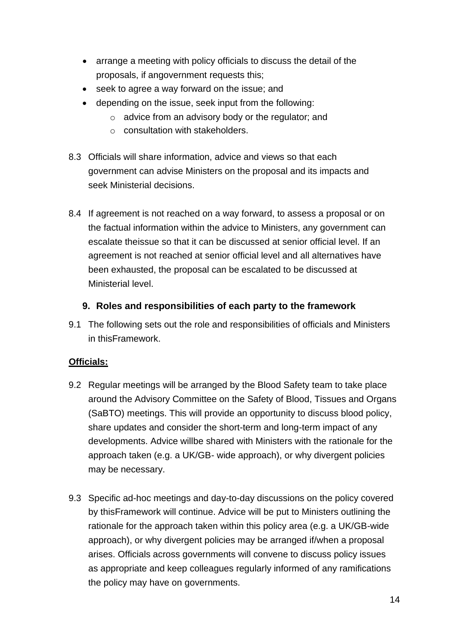- arrange a meeting with policy officials to discuss the detail of the proposals, if angovernment requests this;
- seek to agree a way forward on the issue; and
- depending on the issue, seek input from the following:
	- o advice from an advisory body or the regulator; and
	- o consultation with stakeholders.
- 8.3 Officials will share information, advice and views so that each government can advise Ministers on the proposal and its impacts and seek Ministerial decisions.
- 8.4 If agreement is not reached on a way forward, to assess a proposal or on the factual information within the advice to Ministers, any government can escalate theissue so that it can be discussed at senior official level. If an agreement is not reached at senior official level and all alternatives have been exhausted, the proposal can be escalated to be discussed at Ministerial level.

#### **9. Roles and responsibilities of each party to the framework**

9.1 The following sets out the role and responsibilities of officials and Ministers in thisFramework.

#### **Officials:**

- 9.2 Regular meetings will be arranged by the Blood Safety team to take place around the Advisory Committee on the Safety of Blood, Tissues and Organs (SaBTO) meetings. This will provide an opportunity to discuss blood policy, share updates and consider the short-term and long-term impact of any developments. Advice willbe shared with Ministers with the rationale for the approach taken (e.g. a UK/GB- wide approach), or why divergent policies may be necessary.
- 9.3 Specific ad-hoc meetings and day-to-day discussions on the policy covered by thisFramework will continue. Advice will be put to Ministers outlining the rationale for the approach taken within this policy area (e.g. a UK/GB-wide approach), or why divergent policies may be arranged if/when a proposal arises. Officials across governments will convene to discuss policy issues as appropriate and keep colleagues regularly informed of any ramifications the policy may have on governments.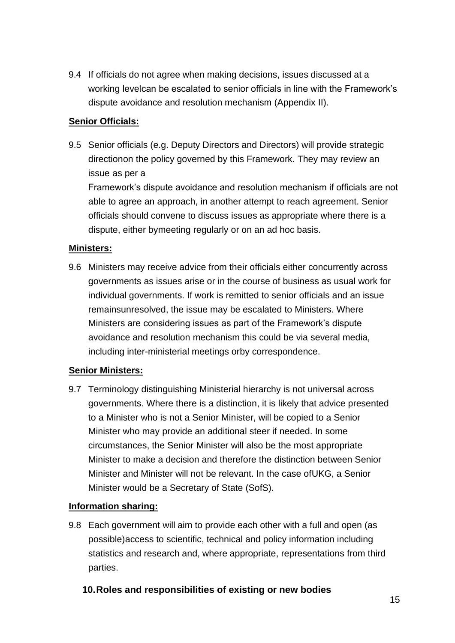9.4 If officials do not agree when making decisions, issues discussed at a working levelcan be escalated to senior officials in line with the Framework's dispute avoidance and resolution mechanism (Appendix II).

#### **Senior Officials:**

9.5 Senior officials (e.g. Deputy Directors and Directors) will provide strategic directionon the policy governed by this Framework. They may review an issue as per a

Framework's dispute avoidance and resolution mechanism if officials are not able to agree an approach, in another attempt to reach agreement. Senior officials should convene to discuss issues as appropriate where there is a dispute, either bymeeting regularly or on an ad hoc basis.

#### **Ministers:**

9.6 Ministers may receive advice from their officials either concurrently across governments as issues arise or in the course of business as usual work for individual governments. If work is remitted to senior officials and an issue remainsunresolved, the issue may be escalated to Ministers. Where Ministers are considering issues as part of the Framework's dispute avoidance and resolution mechanism this could be via several media, including inter-ministerial meetings orby correspondence.

#### **Senior Ministers:**

9.7 Terminology distinguishing Ministerial hierarchy is not universal across governments. Where there is a distinction, it is likely that advice presented to a Minister who is not a Senior Minister, will be copied to a Senior Minister who may provide an additional steer if needed. In some circumstances, the Senior Minister will also be the most appropriate Minister to make a decision and therefore the distinction between Senior Minister and Minister will not be relevant. In the case ofUKG, a Senior Minister would be a Secretary of State (SofS).

#### **Information sharing:**

9.8 Each government will aim to provide each other with a full and open (as possible)access to scientific, technical and policy information including statistics and research and, where appropriate, representations from third parties.

#### **10.Roles and responsibilities of existing or new bodies**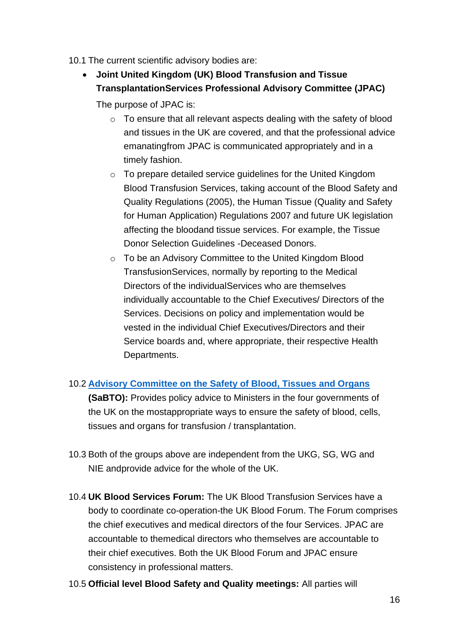- 10.1 The current scientific advisory bodies are:
	- **Joint United Kingdom (UK) Blood Transfusion and Tissue TransplantationServices Professional Advisory Committee (JPAC)**

The purpose of JPAC is:

- o To ensure that all relevant aspects dealing with the safety of blood and tissues in the UK are covered, and that the professional advice emanatingfrom JPAC is communicated appropriately and in a timely fashion.
- o To prepare detailed service guidelines for the United Kingdom Blood Transfusion Services, taking account of the Blood Safety and Quality Regulations (2005), the Human Tissue (Quality and Safety for Human Application) Regulations 2007 and future UK legislation affecting the bloodand tissue services. For example, the Tissue Donor Selection Guidelines -Deceased Donors.
- o To be an Advisory Committee to the United Kingdom Blood TransfusionServices, normally by reporting to the Medical Directors of the individualServices who are themselves individually accountable to the Chief Executives/ Directors of the Services. Decisions on policy and implementation would be vested in the individual Chief Executives/Directors and their Service boards and, where appropriate, their respective Health Departments.

#### 10.2 **[Advisory Committee on the Safety of Blood, Tissues and Organs](https://eur03.safelinks.protection.outlook.com/?url=https%3A%2F%2Fwww.gov.uk%2Fgovernment%2Fgroups%2Fadvisory-committee-on-the-safety-of-blood-tissues-and-organs%23membership&data=04%7C01%7CJosephine.Oyinlola%40dhsc.gov.uk%7Ce2ed82635bc040c7718808d9779ef39d%7C61278c3091a84c318c1fef4de8973a1c%7C1%7C0%7C637672346845947417%7CUnknown%7CTWFpbGZsb3d8eyJWIjoiMC4wLjAwMDAiLCJQIjoiV2luMzIiLCJBTiI6Ik1haWwiLCJXVCI6Mn0%3D%7C1000&sdata=S0PIhKonXxWEJeAl9rrPbIyYxxEyfgx5HnyBzKN0KMI%3D&reserved=0)**

**(SaBTO):** Provides policy advice to Ministers in the four governments of the UK on the mostappropriate ways to ensure the safety of blood, cells, tissues and organs for transfusion / transplantation.

- 10.3 Both of the groups above are independent from the UKG, SG, WG and NIE andprovide advice for the whole of the UK.
- 10.4 **UK Blood Services Forum:** The UK Blood Transfusion Services have a body to coordinate co-operation-the UK Blood Forum. The Forum comprises the chief executives and medical directors of the four Services. JPAC are accountable to themedical directors who themselves are accountable to their chief executives. Both the UK Blood Forum and JPAC ensure consistency in professional matters.
- 10.5 **Official level Blood Safety and Quality meetings:** All parties will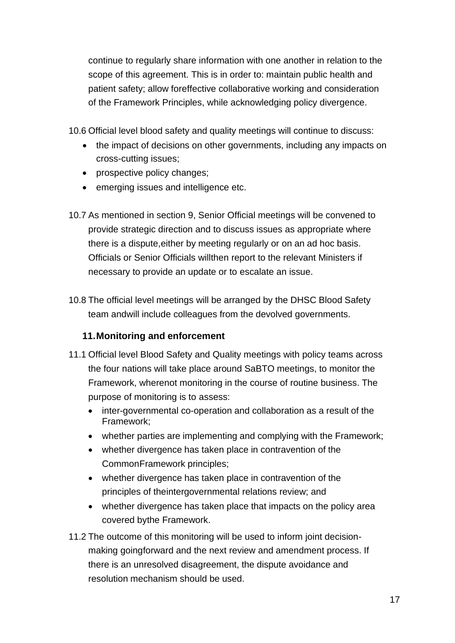continue to regularly share information with one another in relation to the scope of this agreement. This is in order to: maintain public health and patient safety; allow foreffective collaborative working and consideration of the Framework Principles, while acknowledging policy divergence.

10.6 Official level blood safety and quality meetings will continue to discuss:

- the impact of decisions on other governments, including any impacts on cross-cutting issues;
- prospective policy changes;
- emerging issues and intelligence etc.
- 10.7 As mentioned in section 9, Senior Official meetings will be convened to provide strategic direction and to discuss issues as appropriate where there is a dispute,either by meeting regularly or on an ad hoc basis. Officials or Senior Officials willthen report to the relevant Ministers if necessary to provide an update or to escalate an issue.
- 10.8 The official level meetings will be arranged by the DHSC Blood Safety team andwill include colleagues from the devolved governments.

### **11.Monitoring and enforcement**

- 11.1 Official level Blood Safety and Quality meetings with policy teams across the four nations will take place around SaBTO meetings, to monitor the Framework, wherenot monitoring in the course of routine business. The purpose of monitoring is to assess:
	- inter-governmental co-operation and collaboration as a result of the Framework;
	- whether parties are implementing and complying with the Framework;
	- whether divergence has taken place in contravention of the CommonFramework principles;
	- whether divergence has taken place in contravention of the principles of theintergovernmental relations review; and
	- whether divergence has taken place that impacts on the policy area covered bythe Framework.
- 11.2 The outcome of this monitoring will be used to inform joint decisionmaking goingforward and the next review and amendment process. If there is an unresolved disagreement, the dispute avoidance and resolution mechanism should be used.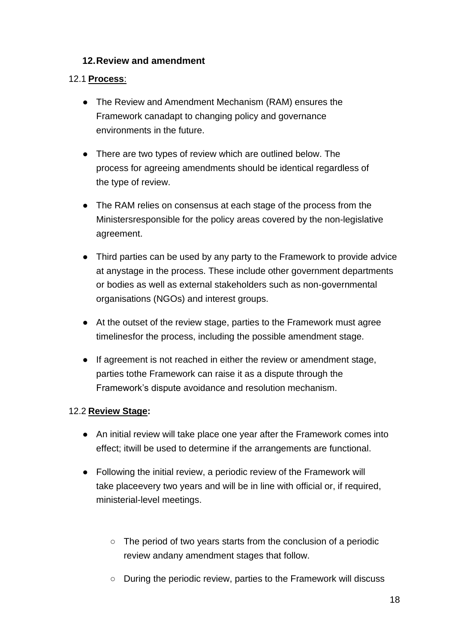#### **12.Review and amendment**

#### 12.1 **Process**:

- The Review and Amendment Mechanism (RAM) ensures the Framework canadapt to changing policy and governance environments in the future.
- There are two types of review which are outlined below. The process for agreeing amendments should be identical regardless of the type of review.
- The RAM relies on consensus at each stage of the process from the Ministersresponsible for the policy areas covered by the non-legislative agreement.
- Third parties can be used by any party to the Framework to provide advice at anystage in the process. These include other government departments or bodies as well as external stakeholders such as non-governmental organisations (NGOs) and interest groups.
- At the outset of the review stage, parties to the Framework must agree timelinesfor the process, including the possible amendment stage.
- If agreement is not reached in either the review or amendment stage, parties tothe Framework can raise it as a dispute through the Framework's dispute avoidance and resolution mechanism.

#### 12.2 **Review Stage:**

- An initial review will take place one year after the Framework comes into effect; itwill be used to determine if the arrangements are functional.
- Following the initial review, a periodic review of the Framework will take placeevery two years and will be in line with official or, if required, ministerial-level meetings.
	- The period of two years starts from the conclusion of a periodic review andany amendment stages that follow.
	- During the periodic review, parties to the Framework will discuss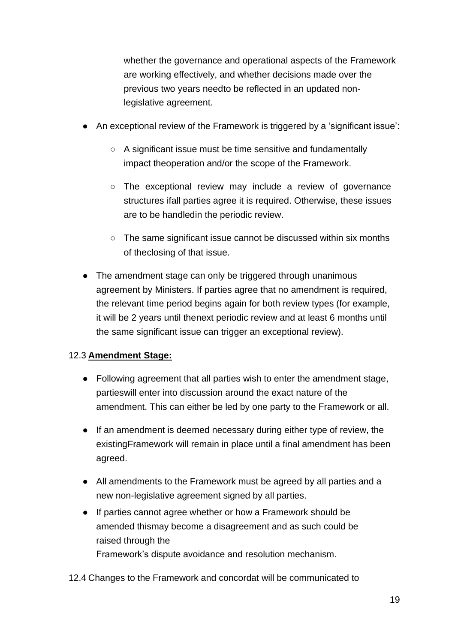whether the governance and operational aspects of the Framework are working effectively, and whether decisions made over the previous two years needto be reflected in an updated nonlegislative agreement.

- An exceptional review of the Framework is triggered by a 'significant issue':
	- A significant issue must be time sensitive and fundamentally impact theoperation and/or the scope of the Framework.
	- The exceptional review may include a review of governance structures ifall parties agree it is required. Otherwise, these issues are to be handledin the periodic review.
	- The same significant issue cannot be discussed within six months of theclosing of that issue.
- The amendment stage can only be triggered through unanimous agreement by Ministers. If parties agree that no amendment is required, the relevant time period begins again for both review types (for example, it will be 2 years until thenext periodic review and at least 6 months until the same significant issue can trigger an exceptional review).

#### 12.3 **Amendment Stage:**

- Following agreement that all parties wish to enter the amendment stage, partieswill enter into discussion around the exact nature of the amendment. This can either be led by one party to the Framework or all.
- If an amendment is deemed necessary during either type of review, the existingFramework will remain in place until a final amendment has been agreed.
- All amendments to the Framework must be agreed by all parties and a new non-legislative agreement signed by all parties.
- If parties cannot agree whether or how a Framework should be amended thismay become a disagreement and as such could be raised through the Framework's dispute avoidance and resolution mechanism.
- 12.4 Changes to the Framework and concordat will be communicated to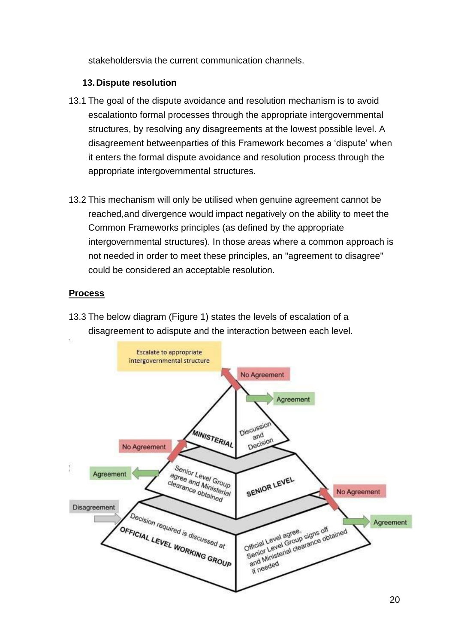stakeholdersvia the current communication channels.

#### **13.Dispute resolution**

- 13.1 The goal of the dispute avoidance and resolution mechanism is to avoid escalationto formal processes through the appropriate intergovernmental structures, by resolving any disagreements at the lowest possible level. A disagreement betweenparties of this Framework becomes a 'dispute' when it enters the formal dispute avoidance and resolution process through the appropriate intergovernmental structures.
- 13.2 This mechanism will only be utilised when genuine agreement cannot be reached,and divergence would impact negatively on the ability to meet the Common Frameworks principles (as defined by the appropriate intergovernmental structures). In those areas where a common approach is not needed in order to meet these principles, an "agreement to disagree" could be considered an acceptable resolution.

#### **Process**

13.3 The below diagram (Figure 1) states the levels of escalation of a disagreement to adispute and the interaction between each level.

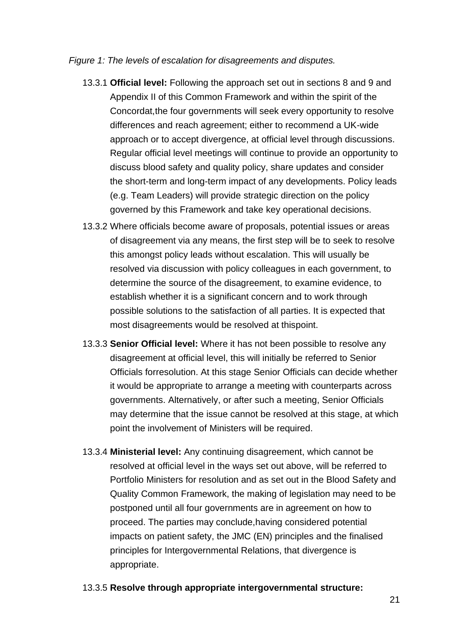#### *Figure 1: The levels of escalation for disagreements and disputes.*

- 13.3.1 **Official level:** Following the approach set out in sections 8 and 9 and Appendix II of this Common Framework and within the spirit of the Concordat,the four governments will seek every opportunity to resolve differences and reach agreement; either to recommend a UK-wide approach or to accept divergence, at official level through discussions. Regular official level meetings will continue to provide an opportunity to discuss blood safety and quality policy, share updates and consider the short-term and long-term impact of any developments. Policy leads (e.g. Team Leaders) will provide strategic direction on the policy governed by this Framework and take key operational decisions.
- 13.3.2 Where officials become aware of proposals, potential issues or areas of disagreement via any means, the first step will be to seek to resolve this amongst policy leads without escalation. This will usually be resolved via discussion with policy colleagues in each government, to determine the source of the disagreement, to examine evidence, to establish whether it is a significant concern and to work through possible solutions to the satisfaction of all parties. It is expected that most disagreements would be resolved at thispoint.
- 13.3.3 **Senior Official level:** Where it has not been possible to resolve any disagreement at official level, this will initially be referred to Senior Officials forresolution. At this stage Senior Officials can decide whether it would be appropriate to arrange a meeting with counterparts across governments. Alternatively, or after such a meeting, Senior Officials may determine that the issue cannot be resolved at this stage, at which point the involvement of Ministers will be required.
- 13.3.4 **Ministerial level:** Any continuing disagreement, which cannot be resolved at official level in the ways set out above, will be referred to Portfolio Ministers for resolution and as set out in the Blood Safety and Quality Common Framework, the making of legislation may need to be postponed until all four governments are in agreement on how to proceed. The parties may conclude,having considered potential impacts on patient safety, the JMC (EN) principles and the finalised principles for Intergovernmental Relations, that divergence is appropriate.
- 13.3.5 **Resolve through appropriate intergovernmental structure:**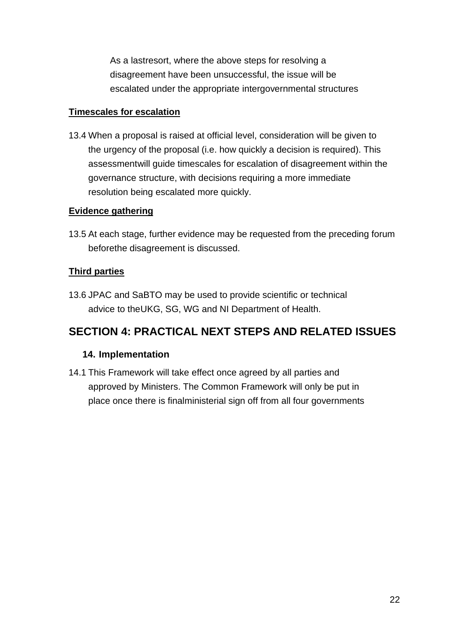As a lastresort, where the above steps for resolving a disagreement have been unsuccessful, the issue will be escalated under the appropriate intergovernmental structures

#### **Timescales for escalation**

13.4 When a proposal is raised at official level, consideration will be given to the urgency of the proposal (i.e. how quickly a decision is required). This assessmentwill guide timescales for escalation of disagreement within the governance structure, with decisions requiring a more immediate resolution being escalated more quickly.

#### **Evidence gathering**

13.5 At each stage, further evidence may be requested from the preceding forum beforethe disagreement is discussed.

### **Third parties**

13.6 JPAC and SaBTO may be used to provide scientific or technical advice to theUKG, SG, WG and NI Department of Health.

# **SECTION 4: PRACTICAL NEXT STEPS AND RELATED ISSUES**

#### **14. Implementation**

14.1 This Framework will take effect once agreed by all parties and approved by Ministers. The Common Framework will only be put in place once there is finalministerial sign off from all four governments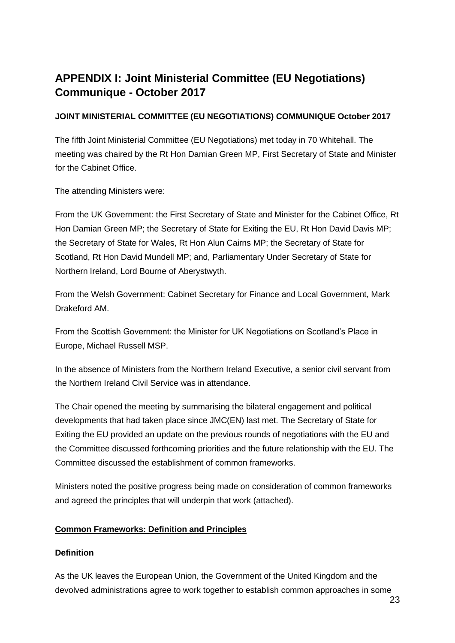# **APPENDIX I: Joint Ministerial Committee (EU Negotiations) Communique - October 2017**

#### **JOINT MINISTERIAL COMMITTEE (EU NEGOTIATIONS) COMMUNIQUE October 2017**

The fifth Joint Ministerial Committee (EU Negotiations) met today in 70 Whitehall. The meeting was chaired by the Rt Hon Damian Green MP, First Secretary of State and Minister for the Cabinet Office.

The attending Ministers were:

From the UK Government: the First Secretary of State and Minister for the Cabinet Office, Rt Hon Damian Green MP; the Secretary of State for Exiting the EU, Rt Hon David Davis MP; the Secretary of State for Wales, Rt Hon Alun Cairns MP; the Secretary of State for Scotland, Rt Hon David Mundell MP; and, Parliamentary Under Secretary of State for Northern Ireland, Lord Bourne of Aberystwyth.

From the Welsh Government: Cabinet Secretary for Finance and Local Government, Mark Drakeford AM.

From the Scottish Government: the Minister for UK Negotiations on Scotland's Place in Europe, Michael Russell MSP.

In the absence of Ministers from the Northern Ireland Executive, a senior civil servant from the Northern Ireland Civil Service was in attendance.

The Chair opened the meeting by summarising the bilateral engagement and political developments that had taken place since JMC(EN) last met. The Secretary of State for Exiting the EU provided an update on the previous rounds of negotiations with the EU and the Committee discussed forthcoming priorities and the future relationship with the EU. The Committee discussed the establishment of common frameworks.

Ministers noted the positive progress being made on consideration of common frameworks and agreed the principles that will underpin that work (attached).

#### **Common Frameworks: Definition and Principles**

#### **Definition**

As the UK leaves the European Union, the Government of the United Kingdom and the devolved administrations agree to work together to establish common approaches in some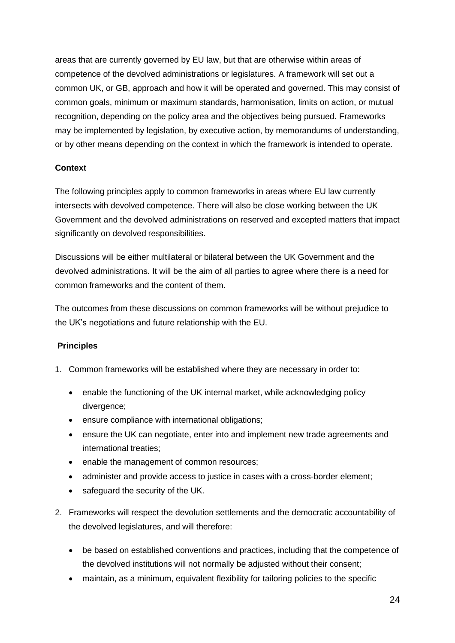areas that are currently governed by EU law, but that are otherwise within areas of competence of the devolved administrations or legislatures. A framework will set out a common UK, or GB, approach and how it will be operated and governed. This may consist of common goals, minimum or maximum standards, harmonisation, limits on action, or mutual recognition, depending on the policy area and the objectives being pursued. Frameworks may be implemented by legislation, by executive action, by memorandums of understanding, or by other means depending on the context in which the framework is intended to operate.

#### **Context**

The following principles apply to common frameworks in areas where EU law currently intersects with devolved competence. There will also be close working between the UK Government and the devolved administrations on reserved and excepted matters that impact significantly on devolved responsibilities.

Discussions will be either multilateral or bilateral between the UK Government and the devolved administrations. It will be the aim of all parties to agree where there is a need for common frameworks and the content of them.

The outcomes from these discussions on common frameworks will be without prejudice to the UK's negotiations and future relationship with the EU.

#### **Principles**

- 1. Common frameworks will be established where they are necessary in order to:
	- enable the functioning of the UK internal market, while acknowledging policy divergence;
	- ensure compliance with international obligations;
	- ensure the UK can negotiate, enter into and implement new trade agreements and international treaties;
	- enable the management of common resources;
	- administer and provide access to justice in cases with a cross-border element;
	- safeguard the security of the UK.
- 2. Frameworks will respect the devolution settlements and the democratic accountability of the devolved legislatures, and will therefore:
	- be based on established conventions and practices, including that the competence of the devolved institutions will not normally be adjusted without their consent;
	- maintain, as a minimum, equivalent flexibility for tailoring policies to the specific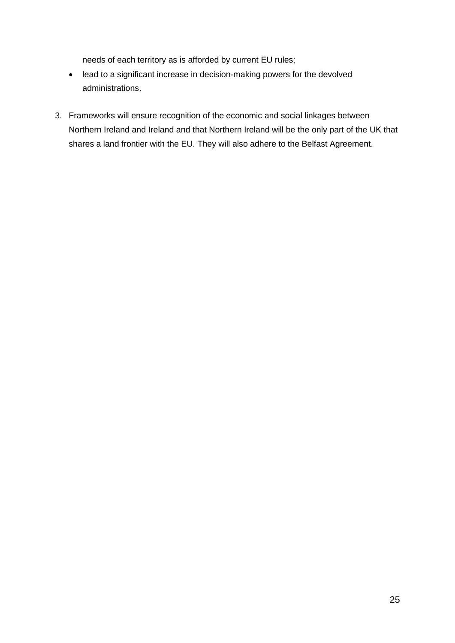needs of each territory as is afforded by current EU rules;

- lead to a significant increase in decision-making powers for the devolved administrations.
- 3. Frameworks will ensure recognition of the economic and social linkages between Northern Ireland and Ireland and that Northern Ireland will be the only part of the UK that shares a land frontier with the EU. They will also adhere to the Belfast Agreement.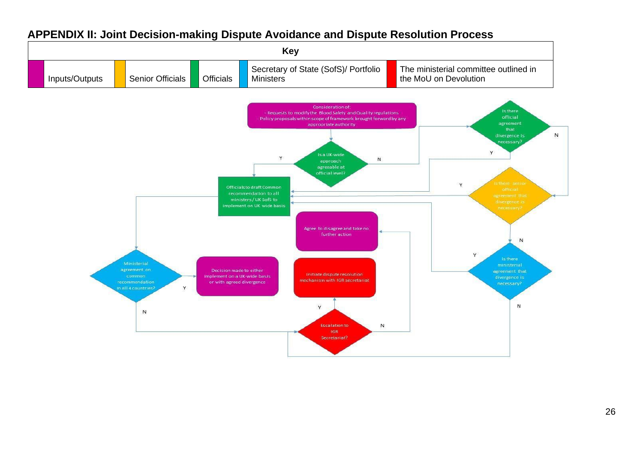### **APPENDIX II: Joint Decision-making Dispute Avoidance and Dispute Resolution Process**

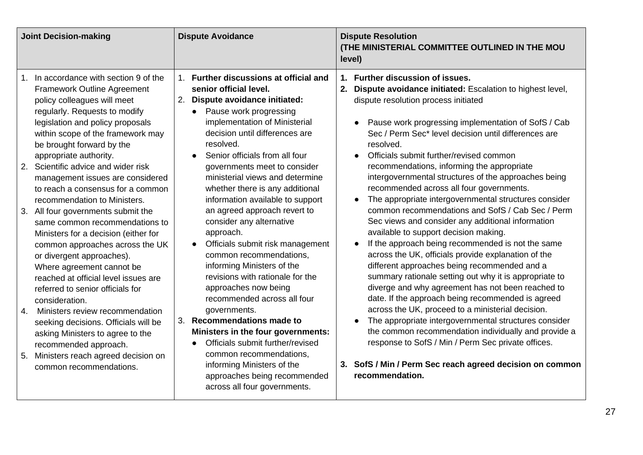| 1. Further discussions at official and<br>1. In accordance with section 9 of the                                                                                                                                                                                                                                                                                                                                                                                                                                                                                                                                                                                                                                                                                                                                                                                                                                                                                                                                                                                                                                                                                                                                                                                                                                                                                                                                                                                                                                                                                                                                                                                                                                                                                                                           |                                                                                                                                                                                                                                                                                                                                                                                                                                                                                                                                                                                                                                                                                                                                                                                                                                                                                                                                                                                                                                                                                                                                                                                                                                                                                                                                                                             |
|------------------------------------------------------------------------------------------------------------------------------------------------------------------------------------------------------------------------------------------------------------------------------------------------------------------------------------------------------------------------------------------------------------------------------------------------------------------------------------------------------------------------------------------------------------------------------------------------------------------------------------------------------------------------------------------------------------------------------------------------------------------------------------------------------------------------------------------------------------------------------------------------------------------------------------------------------------------------------------------------------------------------------------------------------------------------------------------------------------------------------------------------------------------------------------------------------------------------------------------------------------------------------------------------------------------------------------------------------------------------------------------------------------------------------------------------------------------------------------------------------------------------------------------------------------------------------------------------------------------------------------------------------------------------------------------------------------------------------------------------------------------------------------------------------------|-----------------------------------------------------------------------------------------------------------------------------------------------------------------------------------------------------------------------------------------------------------------------------------------------------------------------------------------------------------------------------------------------------------------------------------------------------------------------------------------------------------------------------------------------------------------------------------------------------------------------------------------------------------------------------------------------------------------------------------------------------------------------------------------------------------------------------------------------------------------------------------------------------------------------------------------------------------------------------------------------------------------------------------------------------------------------------------------------------------------------------------------------------------------------------------------------------------------------------------------------------------------------------------------------------------------------------------------------------------------------------|
| <b>Framework Outline Agreement</b><br>senior official level.<br>2. Dispute avoidance initiated:<br>policy colleagues will meet<br>regularly. Requests to modify<br>Pause work progressing<br>implementation of Ministerial<br>legislation and policy proposals<br>decision until differences are<br>within scope of the framework may<br>resolved.<br>be brought forward by the<br>Senior officials from all four<br>appropriate authority.<br>Scientific advice and wider risk<br>2.<br>governments meet to consider<br>ministerial views and determine<br>management issues are considered<br>whether there is any additional<br>to reach a consensus for a common<br>information available to support<br>recommendation to Ministers.<br>an agreed approach revert to<br>3. All four governments submit the<br>consider any alternative<br>same common recommendations to<br>approach.<br>Ministers for a decision (either for<br>Officials submit risk management<br>common approaches across the UK<br>common recommendations,<br>or divergent approaches).<br>informing Ministers of the<br>Where agreement cannot be<br>revisions with rationale for the<br>reached at official level issues are<br>approaches now being<br>referred to senior officials for<br>recommended across all four<br>consideration.<br>governments.<br>Ministers review recommendation<br>4.<br>3.<br>Recommendations made to<br>seeking decisions. Officials will be<br>Ministers in the four governments:<br>asking Ministers to agree to the<br>Officials submit further/revised<br>$\bullet$<br>recommended approach.<br>common recommendations,<br>Ministers reach agreed decision on<br>5.<br>informing Ministers of the<br>common recommendations.<br>approaches being recommended<br>across all four governments. | 1. Further discussion of issues.<br>2. Dispute avoidance initiated: Escalation to highest level,<br>dispute resolution process initiated<br>Pause work progressing implementation of SofS / Cab<br>$\bullet$<br>Sec / Perm Sec* level decision until differences are<br>resolved.<br>Officials submit further/revised common<br>$\bullet$<br>recommendations, informing the appropriate<br>intergovernmental structures of the approaches being<br>recommended across all four governments.<br>The appropriate intergovernmental structures consider<br>$\bullet$<br>common recommendations and SofS / Cab Sec / Perm<br>Sec views and consider any additional information<br>available to support decision making.<br>If the approach being recommended is not the same<br>across the UK, officials provide explanation of the<br>different approaches being recommended and a<br>summary rationale setting out why it is appropriate to<br>diverge and why agreement has not been reached to<br>date. If the approach being recommended is agreed<br>across the UK, proceed to a ministerial decision.<br>The appropriate intergovernmental structures consider<br>$\bullet$<br>the common recommendation individually and provide a<br>response to SofS / Min / Perm Sec private offices.<br>3. SofS / Min / Perm Sec reach agreed decision on common<br>recommendation. |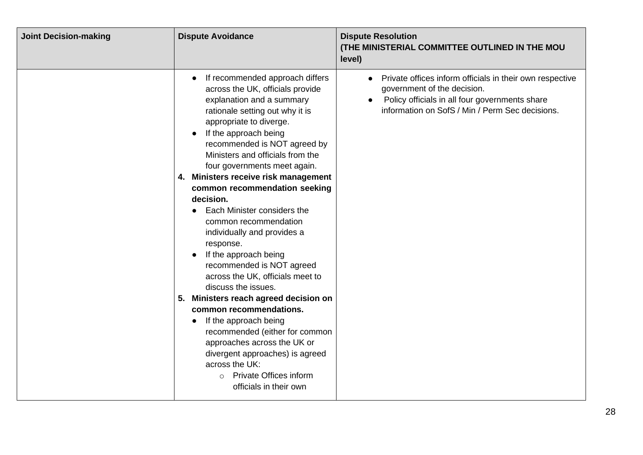| <b>Joint Decision-making</b> | <b>Dispute Avoidance</b>                                                                                                                                                                                                                                                                                                                                                                                                                                                                                                                                                                                                                                                                                                                                                                                                                                                                                     | <b>Dispute Resolution</b><br>(THE MINISTERIAL COMMITTEE OUTLINED IN THE MOU<br>level)                                                                                                        |
|------------------------------|--------------------------------------------------------------------------------------------------------------------------------------------------------------------------------------------------------------------------------------------------------------------------------------------------------------------------------------------------------------------------------------------------------------------------------------------------------------------------------------------------------------------------------------------------------------------------------------------------------------------------------------------------------------------------------------------------------------------------------------------------------------------------------------------------------------------------------------------------------------------------------------------------------------|----------------------------------------------------------------------------------------------------------------------------------------------------------------------------------------------|
|                              | If recommended approach differs<br>across the UK, officials provide<br>explanation and a summary<br>rationale setting out why it is<br>appropriate to diverge.<br>If the approach being<br>recommended is NOT agreed by<br>Ministers and officials from the<br>four governments meet again.<br>4. Ministers receive risk management<br>common recommendation seeking<br>decision.<br>Each Minister considers the<br>common recommendation<br>individually and provides a<br>response.<br>If the approach being<br>recommended is NOT agreed<br>across the UK, officials meet to<br>discuss the issues.<br>5. Ministers reach agreed decision on<br>common recommendations.<br>If the approach being<br>$\bullet$<br>recommended (either for common<br>approaches across the UK or<br>divergent approaches) is agreed<br>across the UK:<br><b>Private Offices inform</b><br>$\circ$<br>officials in their own | Private offices inform officials in their own respective<br>government of the decision.<br>Policy officials in all four governments share<br>information on SofS / Min / Perm Sec decisions. |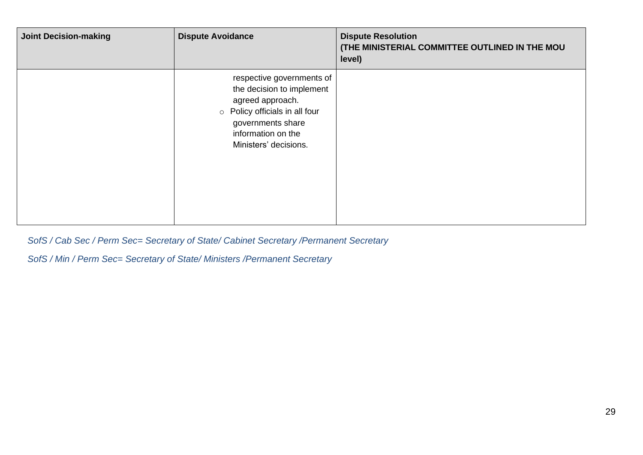| <b>Joint Decision-making</b> | <b>Dispute Avoidance</b>                                                                                                                                                         | <b>Dispute Resolution</b><br>(THE MINISTERIAL COMMITTEE OUTLINED IN THE MOU<br>level) |
|------------------------------|----------------------------------------------------------------------------------------------------------------------------------------------------------------------------------|---------------------------------------------------------------------------------------|
|                              | respective governments of<br>the decision to implement<br>agreed approach.<br>o Policy officials in all four<br>governments share<br>information on the<br>Ministers' decisions. |                                                                                       |

*SofS / Cab Sec / Perm Sec= Secretary of State/ Cabinet Secretary /Permanent Secretary*

*SofS / Min / Perm Sec= Secretary of State/ Ministers /Permanent Secretary*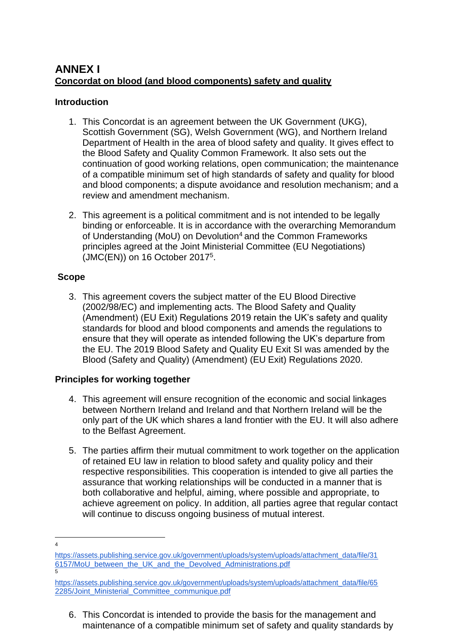### **ANNEX I Concordat on blood (and blood components) safety and quality**

#### **Introduction**

- 1. This Concordat is an agreement between the UK Government (UKG), Scottish Government (SG), Welsh Government (WG), and Northern Ireland Department of Health in the area of blood safety and quality. It gives effect to the Blood Safety and Quality Common Framework. It also sets out the continuation of good working relations, open communication; the maintenance of a compatible minimum set of high standards of safety and quality for blood and blood components; a dispute avoidance and resolution mechanism; and a review and amendment mechanism.
- 2. This agreement is a political commitment and is not intended to be legally binding or enforceable. It is in accordance with the overarching Memorandum of Understanding (MoU) on Devolution<sup>4</sup> and the Common Frameworks principles agreed at the Joint Ministerial Committee (EU Negotiations) (JMC(EN)) on 16 October 2017<sup>5</sup> .

#### **Scope**

3. This agreement covers the subject matter of the EU Blood Directive (2002/98/EC) and implementing acts. The Blood Safety and Quality (Amendment) (EU Exit) Regulations 2019 retain the UK's safety and quality standards for blood and blood components and amends the regulations to ensure that they will operate as intended following the UK's departure from the EU. The 2019 Blood Safety and Quality EU Exit SI was amended by the Blood (Safety and Quality) (Amendment) (EU Exit) Regulations 2020.

#### **Principles for working together**

- 4. This agreement will ensure recognition of the economic and social linkages between Northern Ireland and Ireland and that Northern Ireland will be the only part of the UK which shares a land frontier with the EU. It will also adhere to the Belfast Agreement.
- 5. The parties affirm their mutual commitment to work together on the application of retained EU law in relation to blood safety and quality policy and their respective responsibilities. This cooperation is intended to give all parties the assurance that working relationships will be conducted in a manner that is both collaborative and helpful, aiming, where possible and appropriate, to achieve agreement on policy. In addition, all parties agree that regular contact will continue to discuss ongoing business of mutual interest.
- 4

6. This Concordat is intended to provide the basis for the management and maintenance of a compatible minimum set of safety and quality standards by

[https://assets.publishing.service.gov.uk/government/uploads/system/uploads/attachment\\_data/file/31](https://assets.publishing.service.gov.uk/government/uploads/system/uploads/attachment_data/file/316157/MoU_between_the_UK_and_the_Devolved_Administrations.pdf) [6157/MoU\\_between\\_the\\_UK\\_and\\_the\\_Devolved\\_Administrations.pdf](https://assets.publishing.service.gov.uk/government/uploads/system/uploads/attachment_data/file/316157/MoU_between_the_UK_and_the_Devolved_Administrations.pdf) 5

[https://assets.publishing.service.gov.uk/government/uploads/system/uploads/attachment\\_data/file/65](https://assets.publishing.service.gov.uk/government/uploads/system/uploads/attachment_data/file/652285/Joint_Ministerial_Committee_communique.pdf) [2285/Joint\\_Ministerial\\_Committee\\_communique.pdf](https://assets.publishing.service.gov.uk/government/uploads/system/uploads/attachment_data/file/652285/Joint_Ministerial_Committee_communique.pdf)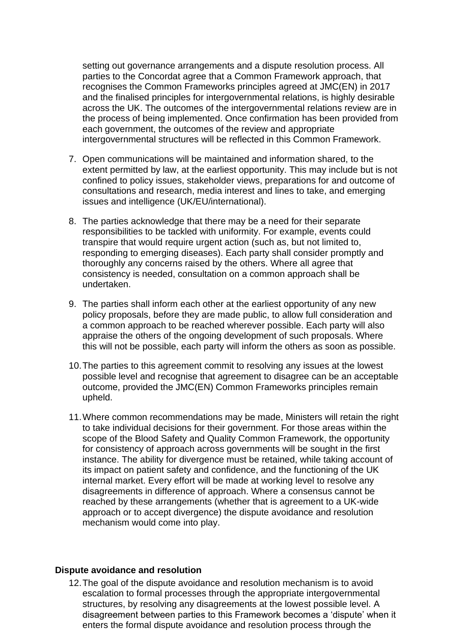setting out governance arrangements and a dispute resolution process. All parties to the Concordat agree that a Common Framework approach, that recognises the Common Frameworks principles agreed at JMC(EN) in 2017 and the finalised principles for intergovernmental relations, is highly desirable across the UK. The outcomes of the intergovernmental relations review are in the process of being implemented. Once confirmation has been provided from each government, the outcomes of the review and appropriate intergovernmental structures will be reflected in this Common Framework.

- 7. Open communications will be maintained and information shared, to the extent permitted by law, at the earliest opportunity. This may include but is not confined to policy issues, stakeholder views, preparations for and outcome of consultations and research, media interest and lines to take, and emerging issues and intelligence (UK/EU/international).
- 8. The parties acknowledge that there may be a need for their separate responsibilities to be tackled with uniformity. For example, events could transpire that would require urgent action (such as, but not limited to, responding to emerging diseases). Each party shall consider promptly and thoroughly any concerns raised by the others. Where all agree that consistency is needed, consultation on a common approach shall be undertaken.
- 9. The parties shall inform each other at the earliest opportunity of any new policy proposals, before they are made public, to allow full consideration and a common approach to be reached wherever possible. Each party will also appraise the others of the ongoing development of such proposals. Where this will not be possible, each party will inform the others as soon as possible.
- 10.The parties to this agreement commit to resolving any issues at the lowest possible level and recognise that agreement to disagree can be an acceptable outcome, provided the JMC(EN) Common Frameworks principles remain upheld.
- 11.Where common recommendations may be made, Ministers will retain the right to take individual decisions for their government. For those areas within the scope of the Blood Safety and Quality Common Framework, the opportunity for consistency of approach across governments will be sought in the first instance. The ability for divergence must be retained, while taking account of its impact on patient safety and confidence, and the functioning of the UK internal market. Every effort will be made at working level to resolve any disagreements in difference of approach. Where a consensus cannot be reached by these arrangements (whether that is agreement to a UK-wide approach or to accept divergence) the dispute avoidance and resolution mechanism would come into play.

#### **Dispute avoidance and resolution**

12.The goal of the dispute avoidance and resolution mechanism is to avoid escalation to formal processes through the appropriate intergovernmental structures, by resolving any disagreements at the lowest possible level. A disagreement between parties to this Framework becomes a 'dispute' when it enters the formal dispute avoidance and resolution process through the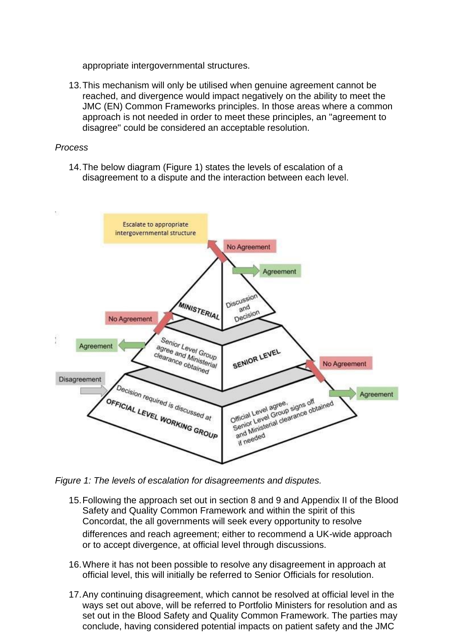appropriate intergovernmental structures.

13.This mechanism will only be utilised when genuine agreement cannot be reached, and divergence would impact negatively on the ability to meet the JMC (EN) Common Frameworks principles. In those areas where a common approach is not needed in order to meet these principles, an "agreement to disagree" could be considered an acceptable resolution.

#### *Process*

14.The below diagram (Figure 1) states the levels of escalation of a disagreement to a dispute and the interaction between each level.



*Figure 1: The levels of escalation for disagreements and disputes.*

- 15.Following the approach set out in section 8 and 9 and Appendix II of the Blood Safety and Quality Common Framework and within the spirit of this Concordat, the all governments will seek every opportunity to resolve differences and reach agreement; either to recommend a UK-wide approach or to accept divergence, at official level through discussions.
- 16.Where it has not been possible to resolve any disagreement in approach at official level, this will initially be referred to Senior Officials for resolution.
- 17.Any continuing disagreement, which cannot be resolved at official level in the ways set out above, will be referred to Portfolio Ministers for resolution and as set out in the Blood Safety and Quality Common Framework. The parties may conclude, having considered potential impacts on patient safety and the JMC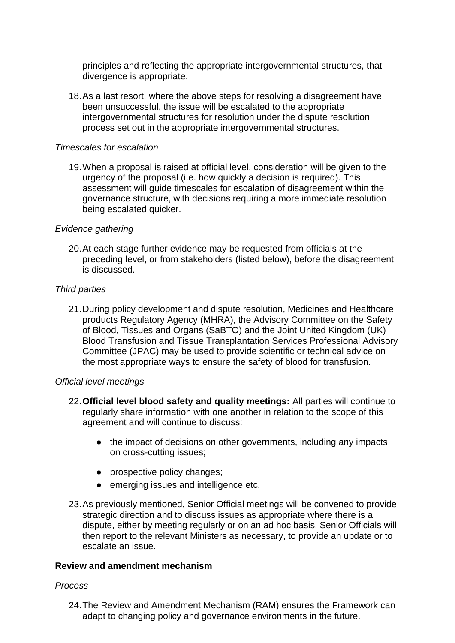principles and reflecting the appropriate intergovernmental structures, that divergence is appropriate.

18.As a last resort, where the above steps for resolving a disagreement have been unsuccessful, the issue will be escalated to the appropriate intergovernmental structures for resolution under the dispute resolution process set out in the appropriate intergovernmental structures.

#### *Timescales for escalation*

19.When a proposal is raised at official level, consideration will be given to the urgency of the proposal (i.e. how quickly a decision is required). This assessment will guide timescales for escalation of disagreement within the governance structure, with decisions requiring a more immediate resolution being escalated quicker.

#### *Evidence gathering*

20.At each stage further evidence may be requested from officials at the preceding level, or from stakeholders (listed below), before the disagreement is discussed.

#### *Third parties*

21.During policy development and dispute resolution, Medicines and Healthcare products Regulatory Agency (MHRA), the Advisory Committee on the Safety of Blood, Tissues and Organs (SaBTO) and the Joint United Kingdom (UK) Blood Transfusion and Tissue Transplantation Services Professional Advisory Committee (JPAC) may be used to provide scientific or technical advice on the most appropriate ways to ensure the safety of blood for transfusion.

#### *Official level meetings*

- 22.**Official level blood safety and quality meetings:** All parties will continue to regularly share information with one another in relation to the scope of this agreement and will continue to discuss:
	- the impact of decisions on other governments, including any impacts on cross-cutting issues;
	- prospective policy changes;
	- emerging issues and intelligence etc.
- 23.As previously mentioned, Senior Official meetings will be convened to provide strategic direction and to discuss issues as appropriate where there is a dispute, either by meeting regularly or on an ad hoc basis. Senior Officials will then report to the relevant Ministers as necessary, to provide an update or to escalate an issue.

#### **Review and amendment mechanism**

#### *Process*

24.The Review and Amendment Mechanism (RAM) ensures the Framework can adapt to changing policy and governance environments in the future.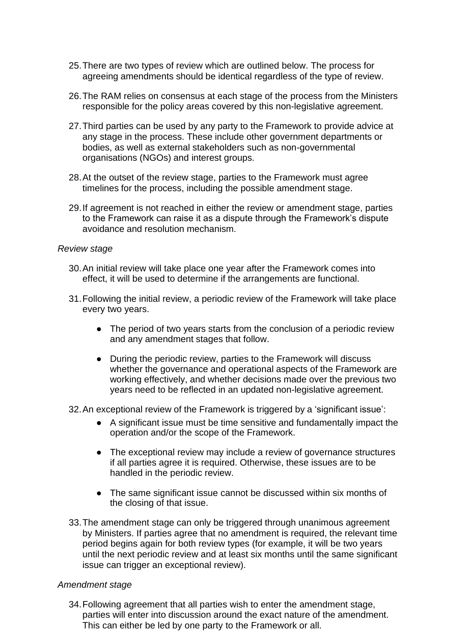- 25.There are two types of review which are outlined below. The process for agreeing amendments should be identical regardless of the type of review.
- 26.The RAM relies on consensus at each stage of the process from the Ministers responsible for the policy areas covered by this non-legislative agreement.
- 27.Third parties can be used by any party to the Framework to provide advice at any stage in the process. These include other government departments or bodies, as well as external stakeholders such as non-governmental organisations (NGOs) and interest groups.
- 28.At the outset of the review stage, parties to the Framework must agree timelines for the process, including the possible amendment stage.
- 29.If agreement is not reached in either the review or amendment stage, parties to the Framework can raise it as a dispute through the Framework's dispute avoidance and resolution mechanism.

#### *Review stage*

- 30.An initial review will take place one year after the Framework comes into effect, it will be used to determine if the arrangements are functional.
- 31.Following the initial review, a periodic review of the Framework will take place every two years.
	- The period of two years starts from the conclusion of a periodic review and any amendment stages that follow.
	- During the periodic review, parties to the Framework will discuss whether the governance and operational aspects of the Framework are working effectively, and whether decisions made over the previous two years need to be reflected in an updated non-legislative agreement.

32.An exceptional review of the Framework is triggered by a 'significant issue':

- A significant issue must be time sensitive and fundamentally impact the operation and/or the scope of the Framework.
- The exceptional review may include a review of governance structures if all parties agree it is required. Otherwise, these issues are to be handled in the periodic review.
- The same significant issue cannot be discussed within six months of the closing of that issue.
- 33.The amendment stage can only be triggered through unanimous agreement by Ministers. If parties agree that no amendment is required, the relevant time period begins again for both review types (for example, it will be two years until the next periodic review and at least six months until the same significant issue can trigger an exceptional review).

#### *Amendment stage*

34.Following agreement that all parties wish to enter the amendment stage, parties will enter into discussion around the exact nature of the amendment. This can either be led by one party to the Framework or all.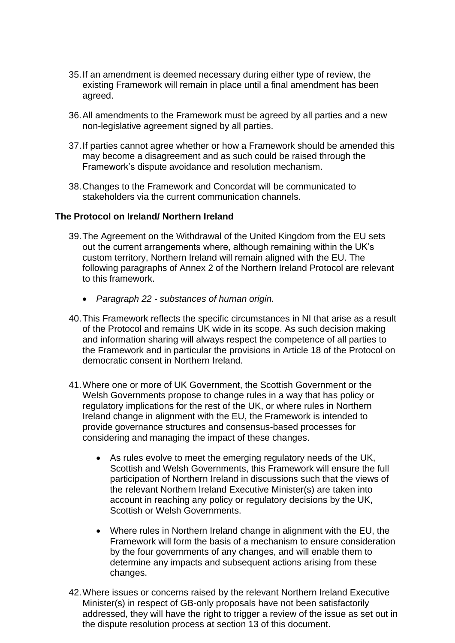- 35.If an amendment is deemed necessary during either type of review, the existing Framework will remain in place until a final amendment has been agreed.
- 36.All amendments to the Framework must be agreed by all parties and a new non-legislative agreement signed by all parties.
- 37.If parties cannot agree whether or how a Framework should be amended this may become a disagreement and as such could be raised through the Framework's dispute avoidance and resolution mechanism.
- 38.Changes to the Framework and Concordat will be communicated to stakeholders via the current communication channels.

#### **The Protocol on Ireland/ Northern Ireland**

- 39.The Agreement on the Withdrawal of the United Kingdom from the EU sets out the current arrangements where, although remaining within the UK's custom territory, Northern Ireland will remain aligned with the EU. The following paragraphs of Annex 2 of the Northern Ireland Protocol are relevant to this framework.
	- *Paragraph 22 - substances of human origin.*
- 40.This Framework reflects the specific circumstances in NI that arise as a result of the Protocol and remains UK wide in its scope. As such decision making and information sharing will always respect the competence of all parties to the Framework and in particular the provisions in Article 18 of the Protocol on democratic consent in Northern Ireland.
- 41.Where one or more of UK Government, the Scottish Government or the Welsh Governments propose to change rules in a way that has policy or regulatory implications for the rest of the UK, or where rules in Northern Ireland change in alignment with the EU, the Framework is intended to provide governance structures and consensus-based processes for considering and managing the impact of these changes.
	- As rules evolve to meet the emerging regulatory needs of the UK, Scottish and Welsh Governments, this Framework will ensure the full participation of Northern Ireland in discussions such that the views of the relevant Northern Ireland Executive Minister(s) are taken into account in reaching any policy or regulatory decisions by the UK, Scottish or Welsh Governments.
	- Where rules in Northern Ireland change in alignment with the EU, the Framework will form the basis of a mechanism to ensure consideration by the four governments of any changes, and will enable them to determine any impacts and subsequent actions arising from these changes.
- 42.Where issues or concerns raised by the relevant Northern Ireland Executive Minister(s) in respect of GB-only proposals have not been satisfactorily addressed, they will have the right to trigger a review of the issue as set out in the dispute resolution process at section 13 of this document.